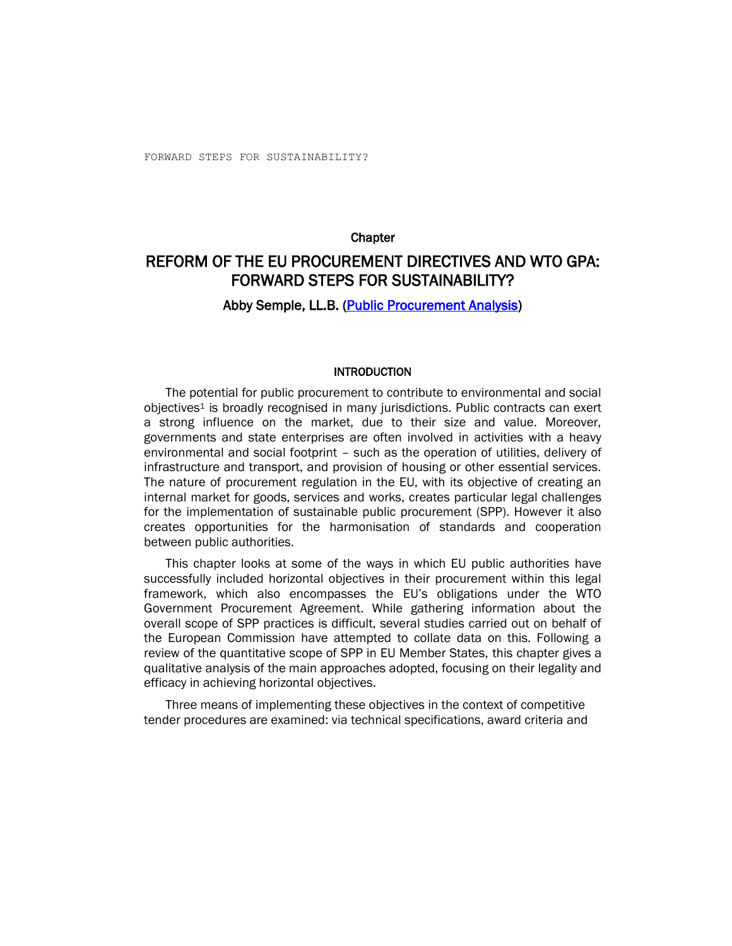### **Chapter**

# REFORM OF THE EU PROCUREMENT DIRECTIVES AND WTO GPA: FORWARD STEPS FOR SUSTAINABILITY?

## Abby Semple, LL.B. [\(Public Procurement Analysis\)](http://www.procurementanalysis.eu/)

#### INTRODUCTION

The potential for public procurement to contribute to environmental and social objectives<sup>1</sup> is broadly recognised in many jurisdictions. Public contracts can exert a strong influence on the market, due to their size and value. Moreover, governments and state enterprises are often involved in activities with a heavy environmental and social footprint – such as the operation of utilities, delivery of infrastructure and transport, and provision of housing or other essential services. The nature of procurement regulation in the EU, with its objective of creating an internal market for goods, services and works, creates particular legal challenges for the implementation of sustainable public procurement (SPP). However it also creates opportunities for the harmonisation of standards and cooperation between public authorities.

This chapter looks at some of the ways in which EU public authorities have successfully included horizontal objectives in their procurement within this legal framework, which also encompasses the EU's obligations under the WTO Government Procurement Agreement. While gathering information about the overall scope of SPP practices is difficult, several studies carried out on behalf of the European Commission have attempted to collate data on this. Following a review of the quantitative scope of SPP in EU Member States, this chapter gives a qualitative analysis of the main approaches adopted, focusing on their legality and efficacy in achieving horizontal objectives.

Three means of implementing these objectives in the context of competitive tender procedures are examined: via technical specifications, award criteria and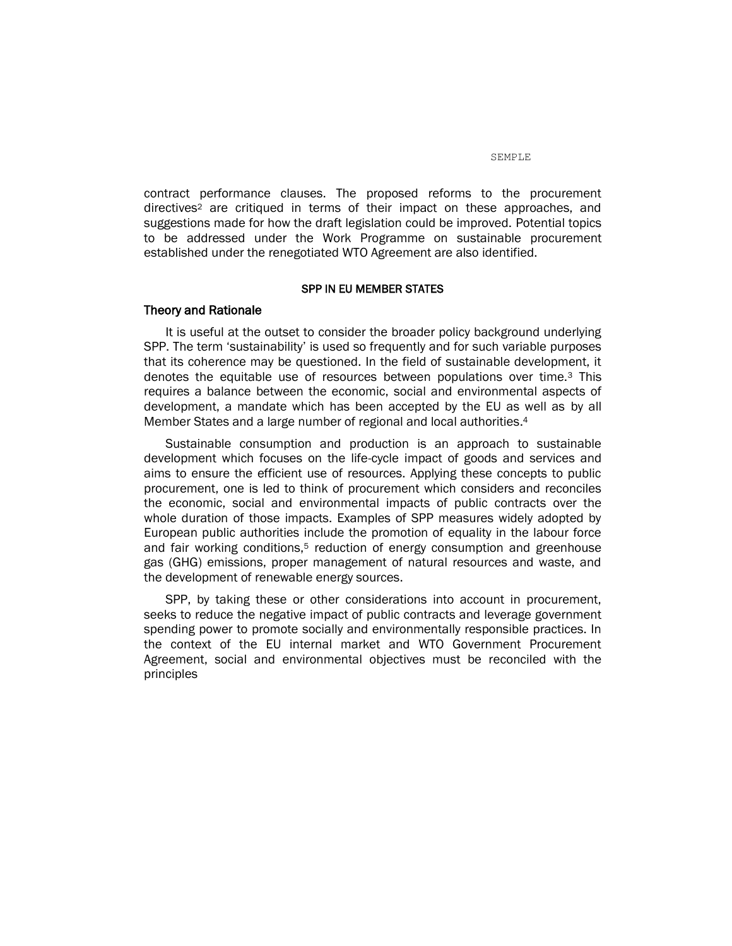contract performance clauses. The proposed reforms to the procurement directives<sup>2</sup> are critiqued in terms of their impact on these approaches, and suggestions made for how the draft legislation could be improved. Potential topics to be addressed under the Work Programme on sustainable procurement established under the renegotiated WTO Agreement are also identified.

### SPP IN EU MEMBER STATES

### Theory and Rationale

It is useful at the outset to consider the broader policy background underlying SPP. The term 'sustainability' is used so frequently and for such variable purposes that its coherence may be questioned. In the field of sustainable development, it denotes the equitable use of resources between populations over time.<sup>3</sup> This requires a balance between the economic, social and environmental aspects of development, a mandate which has been accepted by the EU as well as by all Member States and a large number of regional and local authorities. 4

Sustainable consumption and production is an approach to sustainable development which focuses on the life-cycle impact of goods and services and aims to ensure the efficient use of resources. Applying these concepts to public procurement, one is led to think of procurement which considers and reconciles the economic, social and environmental impacts of public contracts over the whole duration of those impacts. Examples of SPP measures widely adopted by European public authorities include the promotion of equality in the labour force and fair working conditions,<sup>5</sup> reduction of energy consumption and greenhouse gas (GHG) emissions, proper management of natural resources and waste, and the development of renewable energy sources.

SPP, by taking these or other considerations into account in procurement, seeks to reduce the negative impact of public contracts and leverage government spending power to promote socially and environmentally responsible practices. In the context of the EU internal market and WTO Government Procurement Agreement, social and environmental objectives must be reconciled with the principles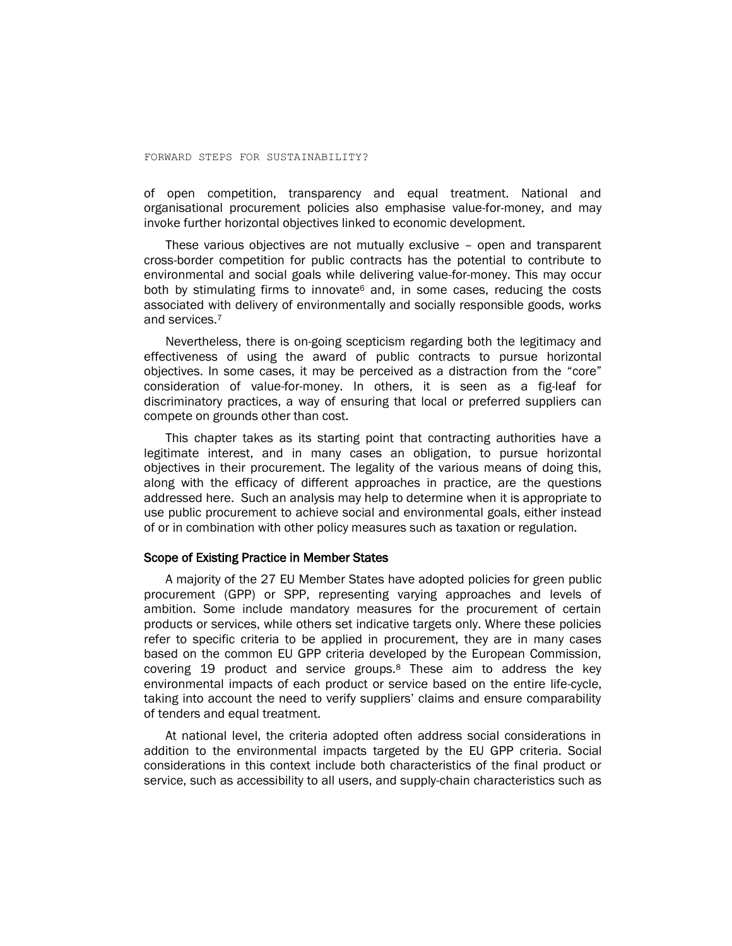of open competition, transparency and equal treatment. National and organisational procurement policies also emphasise value-for-money, and may invoke further horizontal objectives linked to economic development.

These various objectives are not mutually exclusive – open and transparent cross-border competition for public contracts has the potential to contribute to environmental and social goals while delivering value-for-money. This may occur both by stimulating firms to innovate<sup>6</sup> and, in some cases, reducing the costs associated with delivery of environmentally and socially responsible goods, works and services.<sup>7</sup>

Nevertheless, there is on-going scepticism regarding both the legitimacy and effectiveness of using the award of public contracts to pursue horizontal objectives. In some cases, it may be perceived as a distraction from the "core" consideration of value-for-money. In others, it is seen as a fig-leaf for discriminatory practices, a way of ensuring that local or preferred suppliers can compete on grounds other than cost.

This chapter takes as its starting point that contracting authorities have a legitimate interest, and in many cases an obligation, to pursue horizontal objectives in their procurement. The legality of the various means of doing this, along with the efficacy of different approaches in practice, are the questions addressed here. Such an analysis may help to determine when it is appropriate to use public procurement to achieve social and environmental goals, either instead of or in combination with other policy measures such as taxation or regulation.

### Scope of Existing Practice in Member States

A majority of the 27 EU Member States have adopted policies for green public procurement (GPP) or SPP, representing varying approaches and levels of ambition. Some include mandatory measures for the procurement of certain products or services, while others set indicative targets only. Where these policies refer to specific criteria to be applied in procurement, they are in many cases based on the common EU GPP criteria developed by the European Commission, covering 19 product and service groups.<sup>8</sup> These aim to address the key environmental impacts of each product or service based on the entire life-cycle, taking into account the need to verify suppliers' claims and ensure comparability of tenders and equal treatment.

At national level, the criteria adopted often address social considerations in addition to the environmental impacts targeted by the EU GPP criteria. Social considerations in this context include both characteristics of the final product or service, such as accessibility to all users, and supply-chain characteristics such as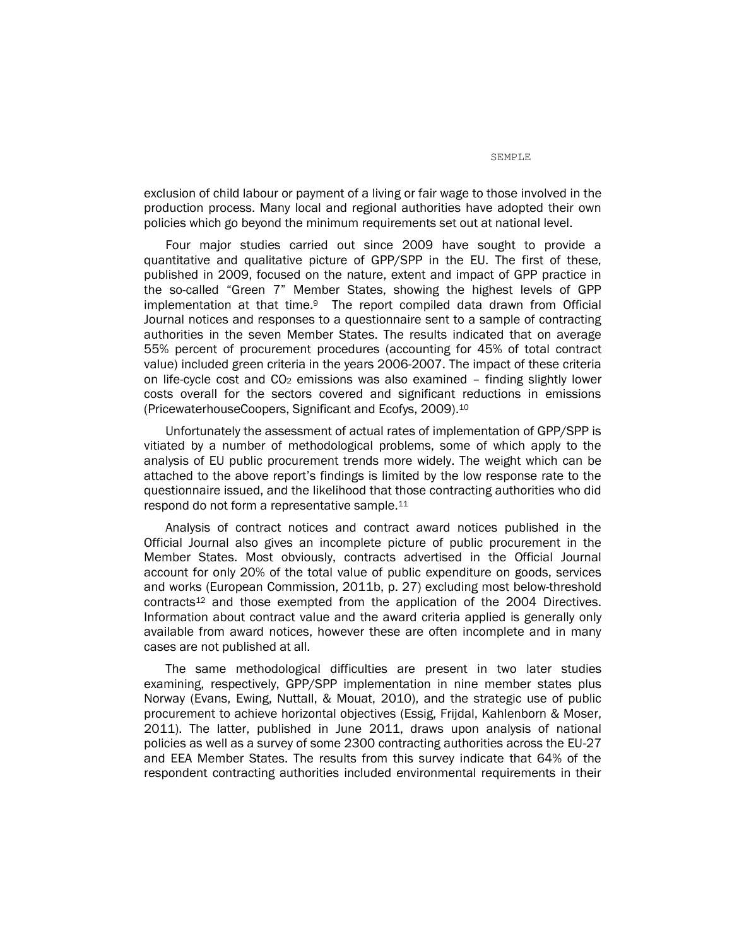exclusion of child labour or payment of a living or fair wage to those involved in the production process. Many local and regional authorities have adopted their own policies which go beyond the minimum requirements set out at national level.

Four major studies carried out since 2009 have sought to provide a quantitative and qualitative picture of GPP/SPP in the EU. The first of these, published in 2009, focused on the nature, extent and impact of GPP practice in the so-called "Green 7" Member States, showing the highest levels of GPP implementation at that time.9 The report compiled data drawn from Official Journal notices and responses to a questionnaire sent to a sample of contracting authorities in the seven Member States. The results indicated that on average 55% percent of procurement procedures (accounting for 45% of total contract value) included green criteria in the years 2006-2007. The impact of these criteria on life-cycle cost and  $CO<sub>2</sub>$  emissions was also examined – finding slightly lower costs overall for the sectors covered and significant reductions in emissions (PricewaterhouseCoopers, Significant and Ecofys, 2009). 10

Unfortunately the assessment of actual rates of implementation of GPP/SPP is vitiated by a number of methodological problems, some of which apply to the analysis of EU public procurement trends more widely. The weight which can be attached to the above report's findings is limited by the low response rate to the questionnaire issued, and the likelihood that those contracting authorities who did respond do not form a representative sample.<sup>11</sup>

Analysis of contract notices and contract award notices published in the Official Journal also gives an incomplete picture of public procurement in the Member States. Most obviously, contracts advertised in the Official Journal account for only 20% of the total value of public expenditure on goods, services and works (European Commission, 2011b, p. 27) excluding most below-threshold contracts<sup>12</sup> and those exempted from the application of the 2004 Directives. Information about contract value and the award criteria applied is generally only available from award notices, however these are often incomplete and in many cases are not published at all.

The same methodological difficulties are present in two later studies examining, respectively, GPP/SPP implementation in nine member states plus Norway (Evans, Ewing, Nuttall, & Mouat, 2010), and the strategic use of public procurement to achieve horizontal objectives (Essig, Frijdal, Kahlenborn & Moser, 2011). The latter, published in June 2011, draws upon analysis of national policies as well as a survey of some 2300 contracting authorities across the EU-27 and EEA Member States. The results from this survey indicate that 64% of the respondent contracting authorities included environmental requirements in their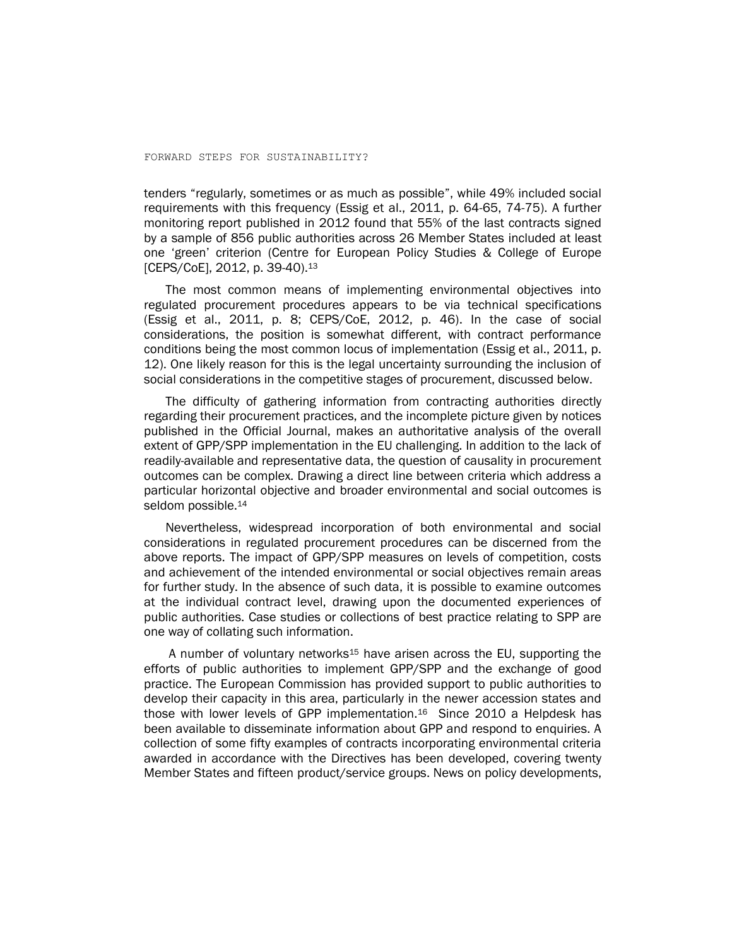tenders "regularly, sometimes or as much as possible", while 49% included social requirements with this frequency (Essig et al., 2011, p. 64-65, 74-75). A further monitoring report published in 2012 found that 55% of the last contracts signed by a sample of 856 public authorities across 26 Member States included at least one 'green' criterion (Centre for European Policy Studies & College of Europe [CEPS/CoE], 2012, p. 39-40). 13

The most common means of implementing environmental objectives into regulated procurement procedures appears to be via technical specifications (Essig et al., 2011, p. 8; CEPS/CoE, 2012, p. 46). In the case of social considerations, the position is somewhat different, with contract performance conditions being the most common locus of implementation (Essig et al., 2011, p. 12). One likely reason for this is the legal uncertainty surrounding the inclusion of social considerations in the competitive stages of procurement, discussed below.

The difficulty of gathering information from contracting authorities directly regarding their procurement practices, and the incomplete picture given by notices published in the Official Journal, makes an authoritative analysis of the overall extent of GPP/SPP implementation in the EU challenging. In addition to the lack of readily-available and representative data, the question of causality in procurement outcomes can be complex. Drawing a direct line between criteria which address a particular horizontal objective and broader environmental and social outcomes is seldom possible.<sup>14</sup>

Nevertheless, widespread incorporation of both environmental and social considerations in regulated procurement procedures can be discerned from the above reports. The impact of GPP/SPP measures on levels of competition, costs and achievement of the intended environmental or social objectives remain areas for further study. In the absence of such data, it is possible to examine outcomes at the individual contract level, drawing upon the documented experiences of public authorities. Case studies or collections of best practice relating to SPP are one way of collating such information.

A number of voluntary networks<sup>15</sup> have arisen across the EU, supporting the efforts of public authorities to implement GPP/SPP and the exchange of good practice. The European Commission has provided support to public authorities to develop their capacity in this area, particularly in the newer accession states and those with lower levels of GPP implementation.<sup>16</sup> Since 2010 a Helpdesk has been available to disseminate information about GPP and respond to enquiries. A collection of some fifty examples of contracts incorporating environmental criteria awarded in accordance with the Directives has been developed, covering twenty Member States and fifteen product/service groups. News on policy developments,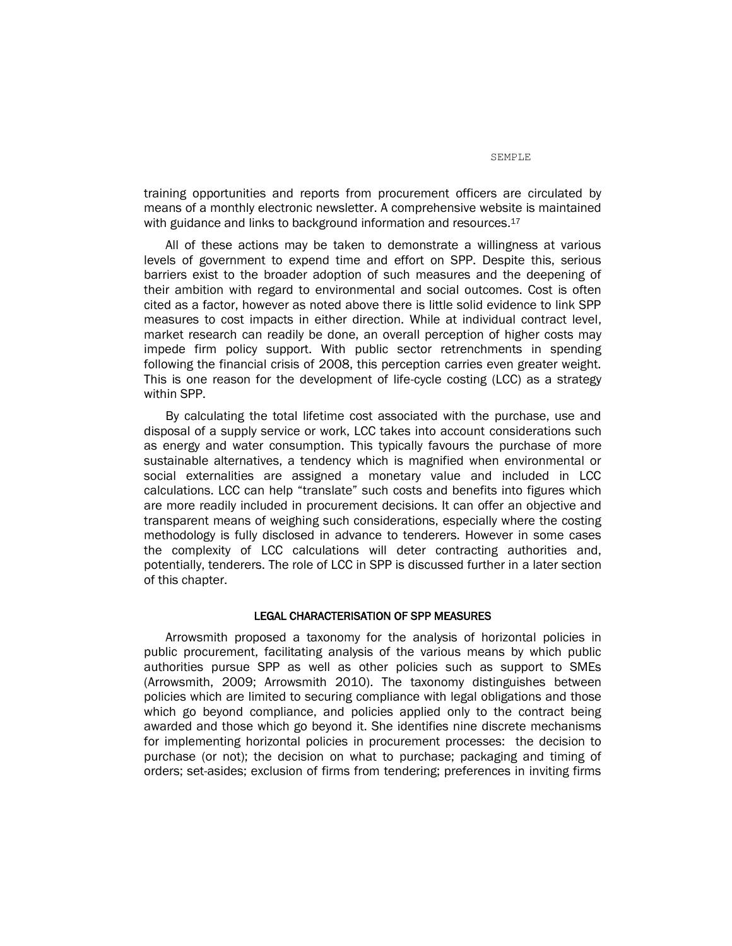training opportunities and reports from procurement officers are circulated by means of a monthly electronic newsletter. A comprehensive website is maintained with guidance and links to background information and resources.<sup>17</sup>

All of these actions may be taken to demonstrate a willingness at various levels of government to expend time and effort on SPP. Despite this, serious barriers exist to the broader adoption of such measures and the deepening of their ambition with regard to environmental and social outcomes. Cost is often cited as a factor, however as noted above there is little solid evidence to link SPP measures to cost impacts in either direction. While at individual contract level, market research can readily be done, an overall perception of higher costs may impede firm policy support. With public sector retrenchments in spending following the financial crisis of 2008, this perception carries even greater weight. This is one reason for the development of life-cycle costing (LCC) as a strategy within SPP.

By calculating the total lifetime cost associated with the purchase, use and disposal of a supply service or work, LCC takes into account considerations such as energy and water consumption. This typically favours the purchase of more sustainable alternatives, a tendency which is magnified when environmental or social externalities are assigned a monetary value and included in LCC calculations. LCC can help "translate" such costs and benefits into figures which are more readily included in procurement decisions. It can offer an objective and transparent means of weighing such considerations, especially where the costing methodology is fully disclosed in advance to tenderers. However in some cases the complexity of LCC calculations will deter contracting authorities and, potentially, tenderers. The role of LCC in SPP is discussed further in a later section of this chapter.

### LEGAL CHARACTERISATION OF SPP MEASURES

Arrowsmith proposed a taxonomy for the analysis of horizontal policies in public procurement, facilitating analysis of the various means by which public authorities pursue SPP as well as other policies such as support to SMEs (Arrowsmith, 2009; Arrowsmith 2010). The taxonomy distinguishes between policies which are limited to securing compliance with legal obligations and those which go beyond compliance, and policies applied only to the contract being awarded and those which go beyond it. She identifies nine discrete mechanisms for implementing horizontal policies in procurement processes: the decision to purchase (or not); the decision on what to purchase; packaging and timing of orders; set-asides; exclusion of firms from tendering; preferences in inviting firms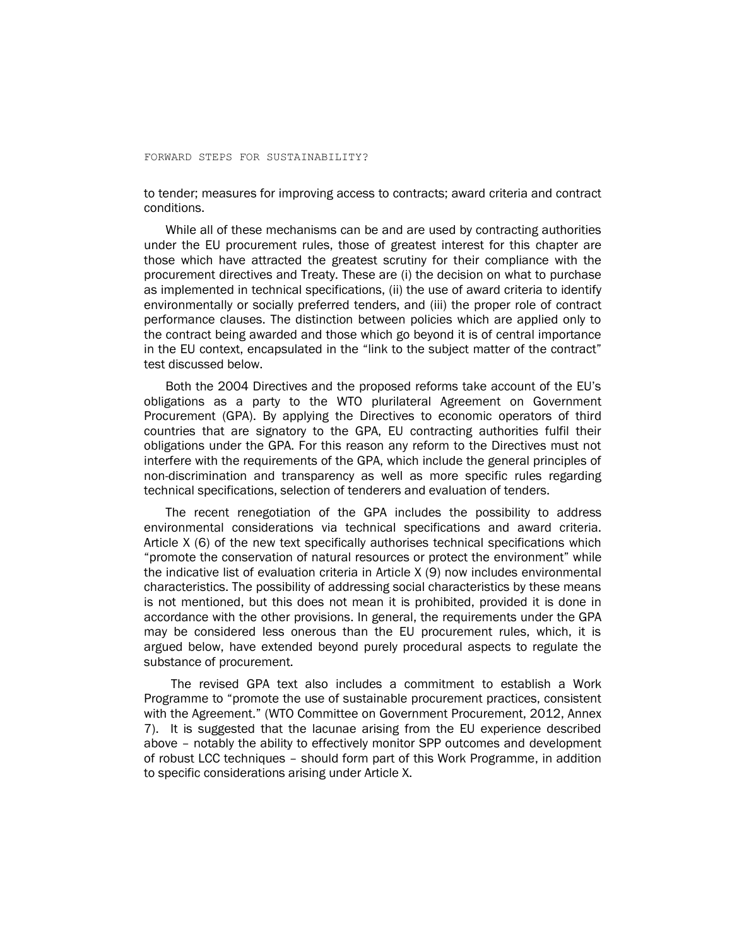to tender; measures for improving access to contracts; award criteria and contract conditions.

While all of these mechanisms can be and are used by contracting authorities under the EU procurement rules, those of greatest interest for this chapter are those which have attracted the greatest scrutiny for their compliance with the procurement directives and Treaty. These are (i) the decision on what to purchase as implemented in technical specifications, (ii) the use of award criteria to identify environmentally or socially preferred tenders, and (iii) the proper role of contract performance clauses. The distinction between policies which are applied only to the contract being awarded and those which go beyond it is of central importance in the EU context, encapsulated in the "link to the subject matter of the contract" test discussed below.

Both the 2004 Directives and the proposed reforms take account of the EU's obligations as a party to the WTO plurilateral Agreement on Government Procurement (GPA). By applying the Directives to economic operators of third countries that are signatory to the GPA, EU contracting authorities fulfil their obligations under the GPA. For this reason any reform to the Directives must not interfere with the requirements of the GPA, which include the general principles of non-discrimination and transparency as well as more specific rules regarding technical specifications, selection of tenderers and evaluation of tenders.

The recent renegotiation of the GPA includes the possibility to address environmental considerations via technical specifications and award criteria. Article X (6) of the new text specifically authorises technical specifications which "promote the conservation of natural resources or protect the environment" while the indicative list of evaluation criteria in Article X (9) now includes environmental characteristics. The possibility of addressing social characteristics by these means is not mentioned, but this does not mean it is prohibited, provided it is done in accordance with the other provisions. In general, the requirements under the GPA may be considered less onerous than the EU procurement rules, which, it is argued below, have extended beyond purely procedural aspects to regulate the substance of procurement.

The revised GPA text also includes a commitment to establish a Work Programme to "promote the use of sustainable procurement practices, consistent with the Agreement." (WTO Committee on Government Procurement, 2012, Annex 7). It is suggested that the lacunae arising from the EU experience described above – notably the ability to effectively monitor SPP outcomes and development of robust LCC techniques – should form part of this Work Programme, in addition to specific considerations arising under Article X.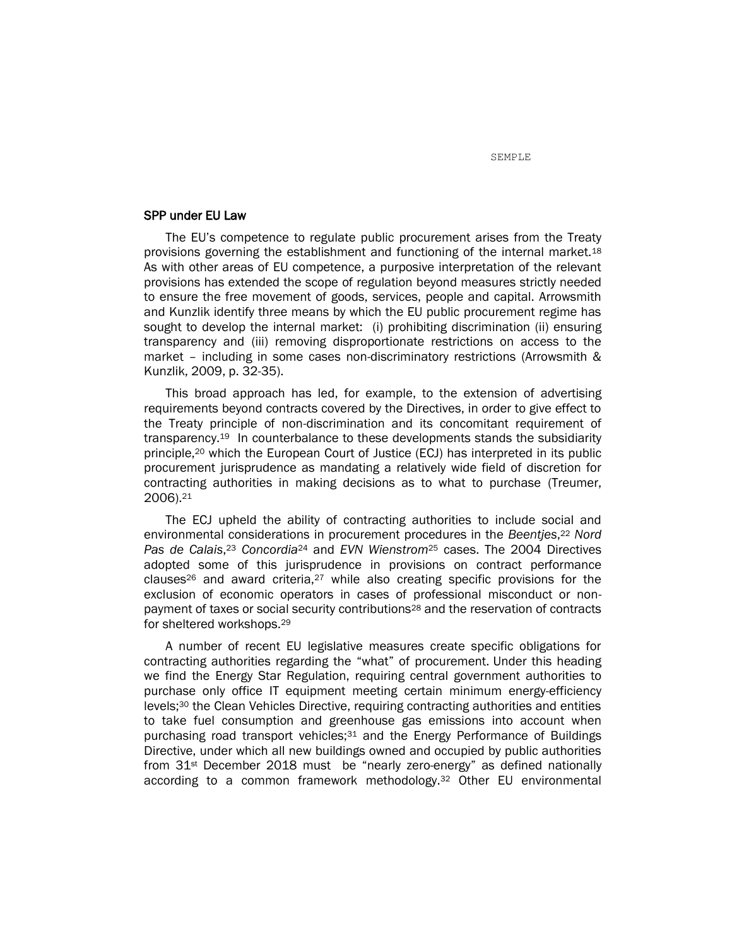### SPP under EU Law

The EU's competence to regulate public procurement arises from the Treaty provisions governing the establishment and functioning of the internal market.<sup>18</sup> As with other areas of EU competence, a purposive interpretation of the relevant provisions has extended the scope of regulation beyond measures strictly needed to ensure the free movement of goods, services, people and capital. Arrowsmith and Kunzlik identify three means by which the EU public procurement regime has sought to develop the internal market: (i) prohibiting discrimination (ii) ensuring transparency and (iii) removing disproportionate restrictions on access to the market – including in some cases non-discriminatory restrictions (Arrowsmith & Kunzlik, 2009, p. 32-35).

This broad approach has led, for example, to the extension of advertising requirements beyond contracts covered by the Directives, in order to give effect to the Treaty principle of non-discrimination and its concomitant requirement of transparency.19 In counterbalance to these developments stands the subsidiarity principle,<sup>20</sup> which the European Court of Justice (ECJ) has interpreted in its public procurement jurisprudence as mandating a relatively wide field of discretion for contracting authorities in making decisions as to what to purchase (Treumer, 2006). 21

The ECJ upheld the ability of contracting authorities to include social and environmental considerations in procurement procedures in the *Beentjes*, <sup>22</sup> *Nord Pas de Calais*, <sup>23</sup> *Concordia*<sup>24</sup> and *EVN Wienstrom*<sup>25</sup> cases. The 2004 Directives adopted some of this jurisprudence in provisions on contract performance clauses<sup>26</sup> and award criteria,<sup>27</sup> while also creating specific provisions for the exclusion of economic operators in cases of professional misconduct or nonpayment of taxes or social security contributions<sup>28</sup> and the reservation of contracts for sheltered workshops.<sup>29</sup>

A number of recent EU legislative measures create specific obligations for contracting authorities regarding the "what" of procurement. Under this heading we find the Energy Star Regulation, requiring central government authorities to purchase only office IT equipment meeting certain minimum energy-efficiency levels;<sup>30</sup> the Clean Vehicles Directive, requiring contracting authorities and entities to take fuel consumption and greenhouse gas emissions into account when purchasing road transport vehicles;<sup>31</sup> and the Energy Performance of Buildings Directive, under which all new buildings owned and occupied by public authorities from 31st December 2018 must be "nearly zero-energy" as defined nationally according to a common framework methodology.<sup>32</sup> Other EU environmental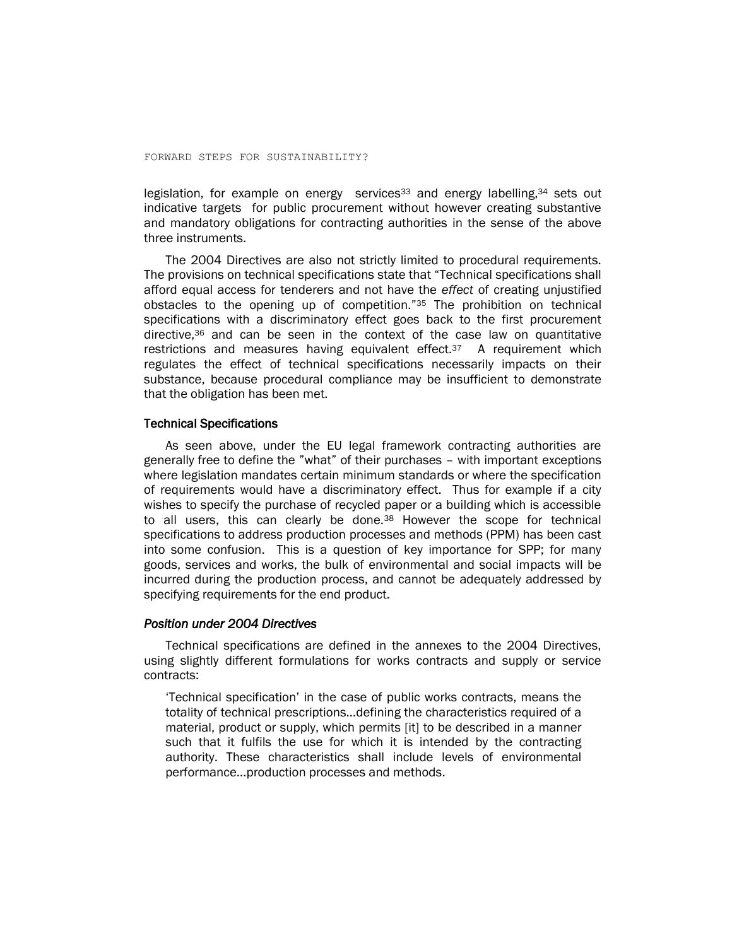legislation, for example on energy services<sup>33</sup> and energy labelling,<sup>34</sup> sets out indicative targets for public procurement without however creating substantive and mandatory obligations for contracting authorities in the sense of the above three instruments.

The 2004 Directives are also not strictly limited to procedural requirements. The provisions on technical specifications state that "Technical specifications shall afford equal access for tenderers and not have the *effect* of creating unjustified obstacles to the opening up of competition."<sup>35</sup> The prohibition on technical specifications with a discriminatory effect goes back to the first procurement directive,<sup>36</sup> and can be seen in the context of the case law on quantitative restrictions and measures having equivalent effect.<sup>37</sup> A requirement which regulates the effect of technical specifications necessarily impacts on their substance, because procedural compliance may be insufficient to demonstrate that the obligation has been met.

### Technical Specifications

As seen above, under the EU legal framework contracting authorities are generally free to define the "what" of their purchases – with important exceptions where legislation mandates certain minimum standards or where the specification of requirements would have a discriminatory effect. Thus for example if a city wishes to specify the purchase of recycled paper or a building which is accessible to all users, this can clearly be done.<sup>38</sup> However the scope for technical specifications to address production processes and methods (PPM) has been cast into some confusion. This is a question of key importance for SPP; for many goods, services and works, the bulk of environmental and social impacts will be incurred during the production process, and cannot be adequately addressed by specifying requirements for the end product.

## *Position under 2004 Directives*

Technical specifications are defined in the annexes to the 2004 Directives, using slightly different formulations for works contracts and supply or service contracts:

'Technical specification' in the case of public works contracts, means the totality of technical prescriptions…defining the characteristics required of a material, product or supply, which permits [it] to be described in a manner such that it fulfils the use for which it is intended by the contracting authority. These characteristics shall include levels of environmental performance…production processes and methods.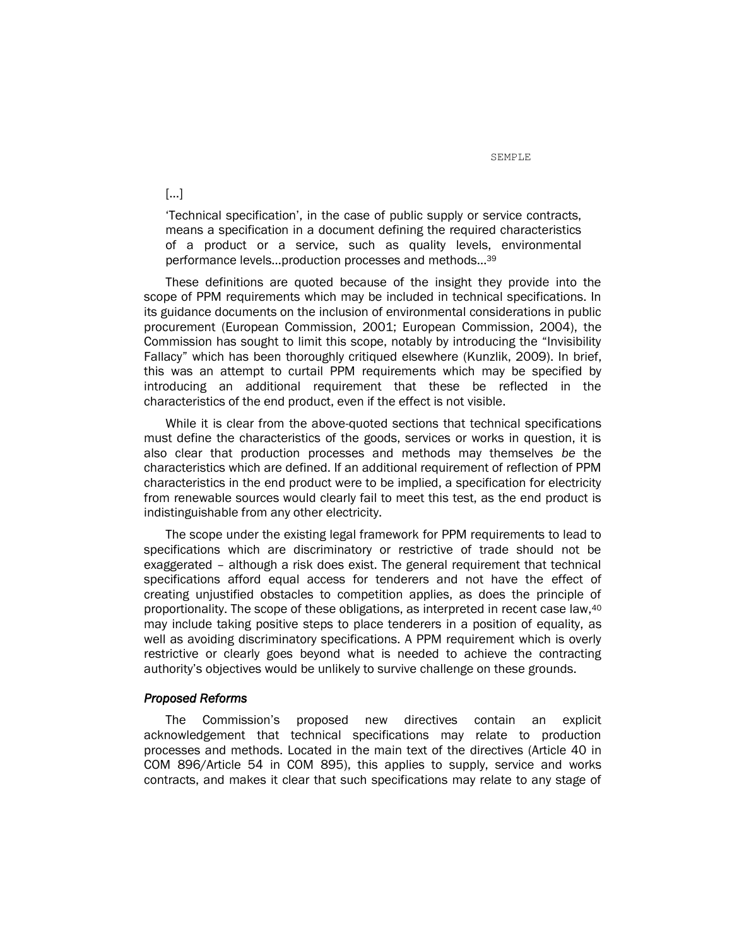'Technical specification', in the case of public supply or service contracts, means a specification in a document defining the required characteristics of a product or a service, such as quality levels, environmental performance levels…production processes and methods…<sup>39</sup>

These definitions are quoted because of the insight they provide into the scope of PPM requirements which may be included in technical specifications. In its guidance documents on the inclusion of environmental considerations in public procurement (European Commission, 2001; European Commission, 2004), the Commission has sought to limit this scope, notably by introducing the "Invisibility Fallacy" which has been thoroughly critiqued elsewhere (Kunzlik, 2009). In brief, this was an attempt to curtail PPM requirements which may be specified by introducing an additional requirement that these be reflected in the characteristics of the end product, even if the effect is not visible.

While it is clear from the above-quoted sections that technical specifications must define the characteristics of the goods, services or works in question, it is also clear that production processes and methods may themselves *be* the characteristics which are defined. If an additional requirement of reflection of PPM characteristics in the end product were to be implied, a specification for electricity from renewable sources would clearly fail to meet this test, as the end product is indistinguishable from any other electricity.

The scope under the existing legal framework for PPM requirements to lead to specifications which are discriminatory or restrictive of trade should not be exaggerated – although a risk does exist. The general requirement that technical specifications afford equal access for tenderers and not have the effect of creating unjustified obstacles to competition applies, as does the principle of proportionality. The scope of these obligations, as interpreted in recent case law,<sup>40</sup> may include taking positive steps to place tenderers in a position of equality, as well as avoiding discriminatory specifications. A PPM requirement which is overly restrictive or clearly goes beyond what is needed to achieve the contracting authority's objectives would be unlikely to survive challenge on these grounds.

### *Proposed Reforms*

The Commission's proposed new directives contain an explicit acknowledgement that technical specifications may relate to production processes and methods. Located in the main text of the directives (Article 40 in COM 896/Article 54 in COM 895), this applies to supply, service and works contracts, and makes it clear that such specifications may relate to any stage of

[...]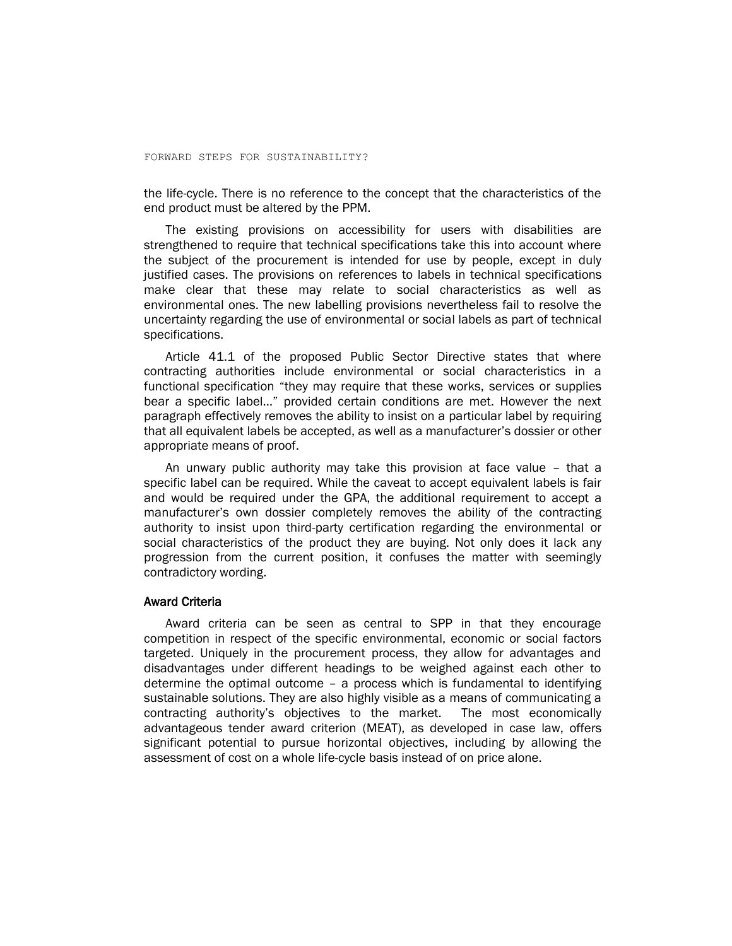the life-cycle. There is no reference to the concept that the characteristics of the end product must be altered by the PPM.

The existing provisions on accessibility for users with disabilities are strengthened to require that technical specifications take this into account where the subject of the procurement is intended for use by people, except in duly justified cases. The provisions on references to labels in technical specifications make clear that these may relate to social characteristics as well as environmental ones. The new labelling provisions nevertheless fail to resolve the uncertainty regarding the use of environmental or social labels as part of technical specifications.

Article 41.1 of the proposed Public Sector Directive states that where contracting authorities include environmental or social characteristics in a functional specification "they may require that these works, services or supplies bear a specific label…" provided certain conditions are met. However the next paragraph effectively removes the ability to insist on a particular label by requiring that all equivalent labels be accepted, as well as a manufacturer's dossier or other appropriate means of proof.

An unwary public authority may take this provision at face value – that a specific label can be required. While the caveat to accept equivalent labels is fair and would be required under the GPA, the additional requirement to accept a manufacturer's own dossier completely removes the ability of the contracting authority to insist upon third-party certification regarding the environmental or social characteristics of the product they are buying. Not only does it lack any progression from the current position, it confuses the matter with seemingly contradictory wording.

### Award Criteria

Award criteria can be seen as central to SPP in that they encourage competition in respect of the specific environmental, economic or social factors targeted. Uniquely in the procurement process, they allow for advantages and disadvantages under different headings to be weighed against each other to determine the optimal outcome – a process which is fundamental to identifying sustainable solutions. They are also highly visible as a means of communicating a contracting authority's objectives to the market. The most economically advantageous tender award criterion (MEAT), as developed in case law, offers significant potential to pursue horizontal objectives, including by allowing the assessment of cost on a whole life-cycle basis instead of on price alone.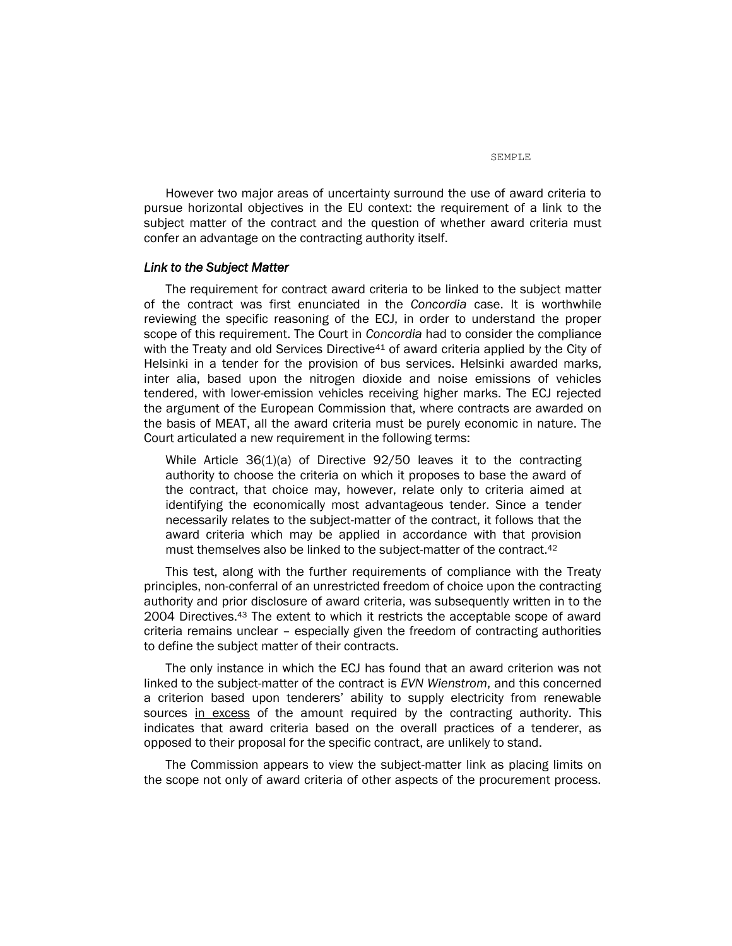However two major areas of uncertainty surround the use of award criteria to pursue horizontal objectives in the EU context: the requirement of a link to the subject matter of the contract and the question of whether award criteria must confer an advantage on the contracting authority itself.

#### *Link to the Subject Matter*

The requirement for contract award criteria to be linked to the subject matter of the contract was first enunciated in the *Concordia* case. It is worthwhile reviewing the specific reasoning of the ECJ, in order to understand the proper scope of this requirement. The Court in *Concordia* had to consider the compliance with the Treaty and old Services Directive<sup>41</sup> of award criteria applied by the City of Helsinki in a tender for the provision of bus services. Helsinki awarded marks, inter alia, based upon the nitrogen dioxide and noise emissions of vehicles tendered, with lower-emission vehicles receiving higher marks. The ECJ rejected the argument of the European Commission that, where contracts are awarded on the basis of MEAT, all the award criteria must be purely economic in nature. The Court articulated a new requirement in the following terms:

While Article 36(1)(a) of Directive 92/50 leaves it to the contracting authority to choose the criteria on which it proposes to base the award of the contract, that choice may, however, relate only to criteria aimed at identifying the economically most advantageous tender. Since a tender necessarily relates to the subject-matter of the contract, it follows that the award criteria which may be applied in accordance with that provision must themselves also be linked to the subject-matter of the contract.<sup>42</sup>

This test, along with the further requirements of compliance with the Treaty principles, non-conferral of an unrestricted freedom of choice upon the contracting authority and prior disclosure of award criteria, was subsequently written in to the 2004 Directives.<sup>43</sup> The extent to which it restricts the acceptable scope of award criteria remains unclear – especially given the freedom of contracting authorities to define the subject matter of their contracts.

The only instance in which the ECJ has found that an award criterion was not linked to the subject-matter of the contract is *EVN Wienstrom*, and this concerned a criterion based upon tenderers' ability to supply electricity from renewable sources in excess of the amount required by the contracting authority. This indicates that award criteria based on the overall practices of a tenderer, as opposed to their proposal for the specific contract, are unlikely to stand.

The Commission appears to view the subject-matter link as placing limits on the scope not only of award criteria of other aspects of the procurement process.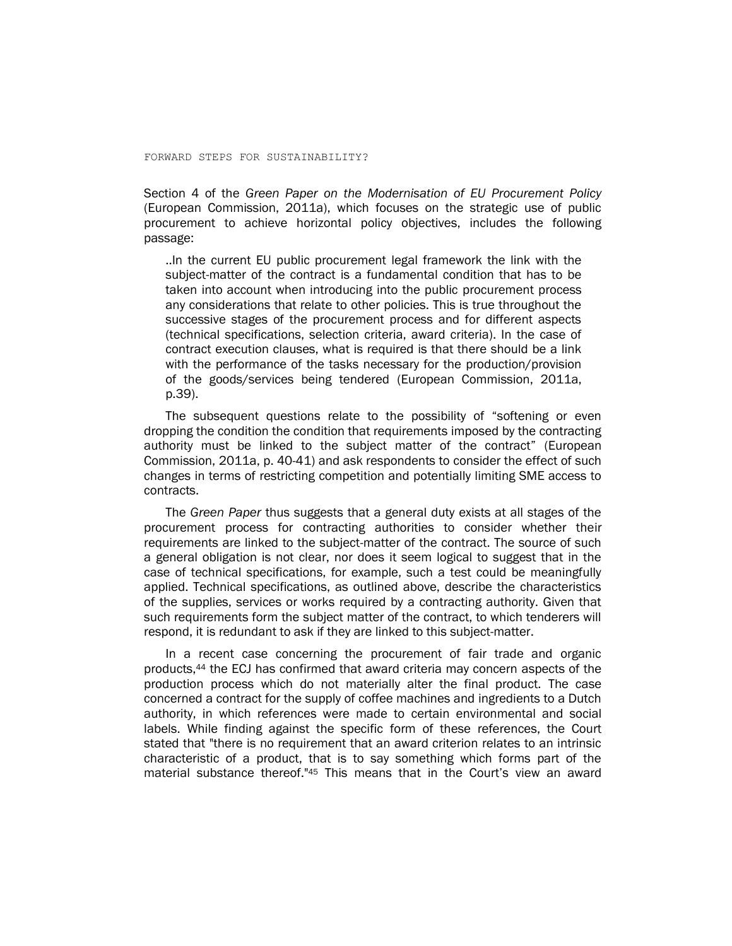Section 4 of the *Green Paper on the Modernisation of EU Procurement Policy* (European Commission, 2011a), which focuses on the strategic use of public procurement to achieve horizontal policy objectives, includes the following passage:

..In the current EU public procurement legal framework the link with the subject-matter of the contract is a fundamental condition that has to be taken into account when introducing into the public procurement process any considerations that relate to other policies. This is true throughout the successive stages of the procurement process and for different aspects (technical specifications, selection criteria, award criteria). In the case of contract execution clauses, what is required is that there should be a link with the performance of the tasks necessary for the production/provision of the goods/services being tendered (European Commission, 2011a, p.39).

The subsequent questions relate to the possibility of "softening or even dropping the condition the condition that requirements imposed by the contracting authority must be linked to the subject matter of the contract" (European Commission, 2011a, p. 40-41) and ask respondents to consider the effect of such changes in terms of restricting competition and potentially limiting SME access to contracts.

The *Green Paper* thus suggests that a general duty exists at all stages of the procurement process for contracting authorities to consider whether their requirements are linked to the subject-matter of the contract. The source of such a general obligation is not clear, nor does it seem logical to suggest that in the case of technical specifications, for example, such a test could be meaningfully applied. Technical specifications, as outlined above, describe the characteristics of the supplies, services or works required by a contracting authority. Given that such requirements form the subject matter of the contract, to which tenderers will respond, it is redundant to ask if they are linked to this subject-matter.

In a recent case concerning the procurement of fair trade and organic products, <sup>44</sup> the ECJ has confirmed that award criteria may concern aspects of the production process which do not materially alter the final product. The case concerned a contract for the supply of coffee machines and ingredients to a Dutch authority, in which references were made to certain environmental and social labels. While finding against the specific form of these references, the Court stated that "there is no requirement that an award criterion relates to an intrinsic characteristic of a product, that is to say something which forms part of the material substance thereof."<sup>45</sup> This means that in the Court's view an award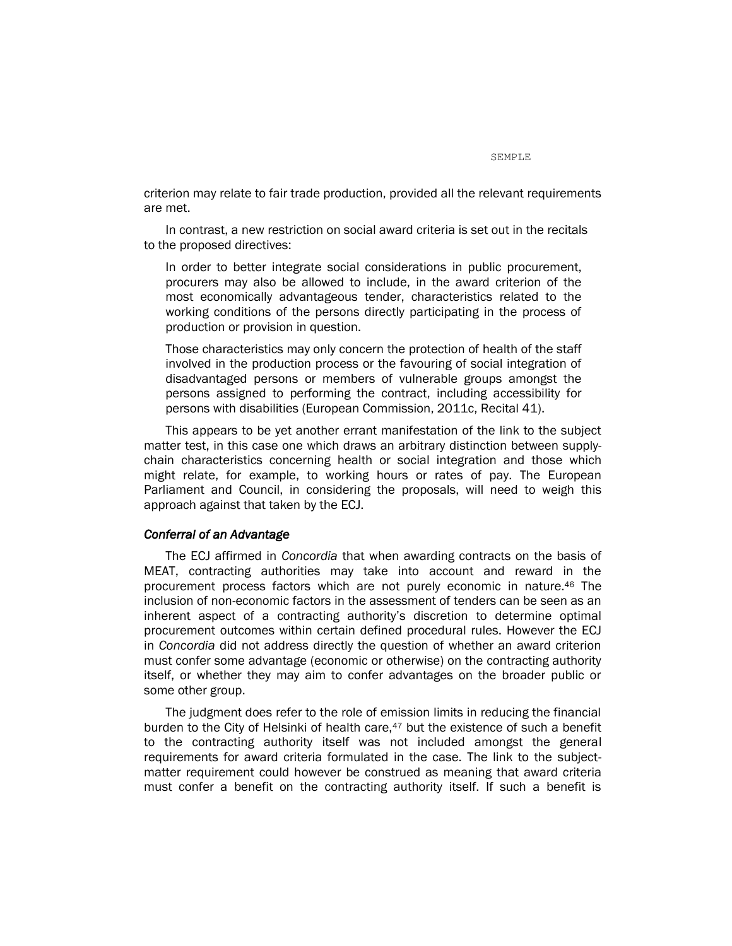criterion may relate to fair trade production, provided all the relevant requirements are met.

In contrast, a new restriction on social award criteria is set out in the recitals to the proposed directives:

In order to better integrate social considerations in public procurement, procurers may also be allowed to include, in the award criterion of the most economically advantageous tender, characteristics related to the working conditions of the persons directly participating in the process of production or provision in question.

Those characteristics may only concern the protection of health of the staff involved in the production process or the favouring of social integration of disadvantaged persons or members of vulnerable groups amongst the persons assigned to performing the contract, including accessibility for persons with disabilities (European Commission, 2011c, Recital 41).

This appears to be yet another errant manifestation of the link to the subject matter test, in this case one which draws an arbitrary distinction between supplychain characteristics concerning health or social integration and those which might relate, for example, to working hours or rates of pay. The European Parliament and Council, in considering the proposals, will need to weigh this approach against that taken by the ECJ.

### *Conferral of an Advantage*

The ECJ affirmed in *Concordia* that when awarding contracts on the basis of MEAT, contracting authorities may take into account and reward in the procurement process factors which are not purely economic in nature.<sup>46</sup> The inclusion of non-economic factors in the assessment of tenders can be seen as an inherent aspect of a contracting authority's discretion to determine optimal procurement outcomes within certain defined procedural rules. However the ECJ in *Concordia* did not address directly the question of whether an award criterion must confer some advantage (economic or otherwise) on the contracting authority itself, or whether they may aim to confer advantages on the broader public or some other group.

The judgment does refer to the role of emission limits in reducing the financial burden to the City of Helsinki of health care, $47$  but the existence of such a benefit to the contracting authority itself was not included amongst the general requirements for award criteria formulated in the case. The link to the subjectmatter requirement could however be construed as meaning that award criteria must confer a benefit on the contracting authority itself. If such a benefit is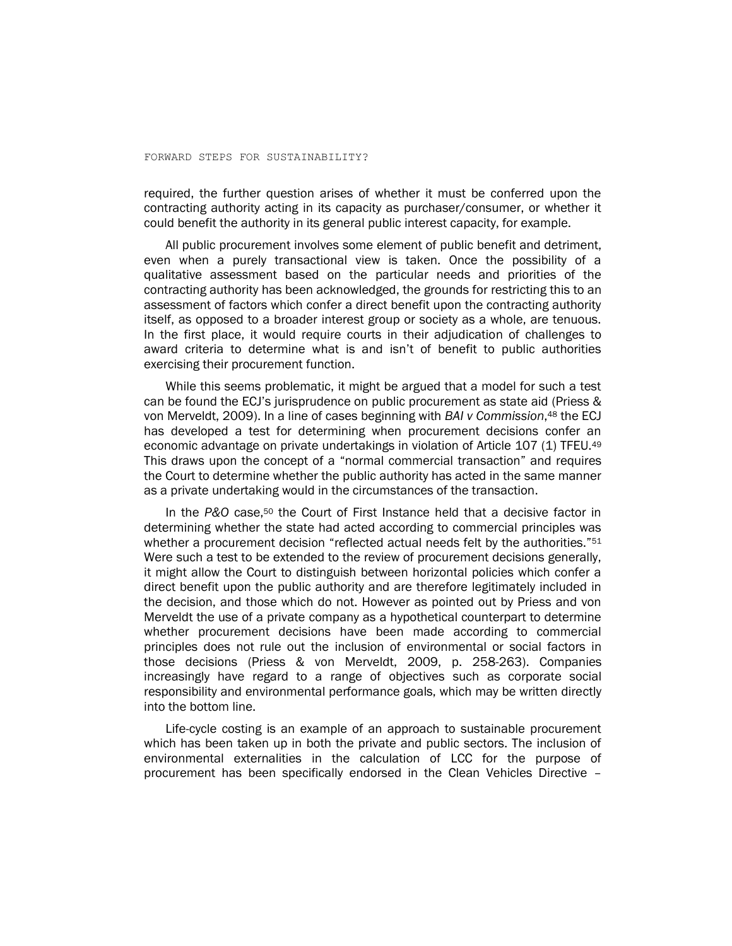required, the further question arises of whether it must be conferred upon the contracting authority acting in its capacity as purchaser/consumer, or whether it could benefit the authority in its general public interest capacity, for example.

All public procurement involves some element of public benefit and detriment, even when a purely transactional view is taken. Once the possibility of a qualitative assessment based on the particular needs and priorities of the contracting authority has been acknowledged, the grounds for restricting this to an assessment of factors which confer a direct benefit upon the contracting authority itself, as opposed to a broader interest group or society as a whole, are tenuous. In the first place, it would require courts in their adjudication of challenges to award criteria to determine what is and isn't of benefit to public authorities exercising their procurement function.

While this seems problematic, it might be argued that a model for such a test can be found the ECJ's jurisprudence on public procurement as state aid (Priess & von Merveldt, 2009). In a line of cases beginning with *BAI v Commission*, <sup>48</sup> the ECJ has developed a test for determining when procurement decisions confer an economic advantage on private undertakings in violation of Article 107 (1) TFEU.<sup>49</sup> This draws upon the concept of a "normal commercial transaction" and requires the Court to determine whether the public authority has acted in the same manner as a private undertaking would in the circumstances of the transaction.

In the P&O case,<sup>50</sup> the Court of First Instance held that a decisive factor in determining whether the state had acted according to commercial principles was whether a procurement decision "reflected actual needs felt by the authorities."<sup>51</sup> Were such a test to be extended to the review of procurement decisions generally, it might allow the Court to distinguish between horizontal policies which confer a direct benefit upon the public authority and are therefore legitimately included in the decision, and those which do not. However as pointed out by Priess and von Merveldt the use of a private company as a hypothetical counterpart to determine whether procurement decisions have been made according to commercial principles does not rule out the inclusion of environmental or social factors in those decisions (Priess & von Merveldt, 2009, p. 258-263). Companies increasingly have regard to a range of objectives such as corporate social responsibility and environmental performance goals, which may be written directly into the bottom line.

Life-cycle costing is an example of an approach to sustainable procurement which has been taken up in both the private and public sectors. The inclusion of environmental externalities in the calculation of LCC for the purpose of procurement has been specifically endorsed in the Clean Vehicles Directive –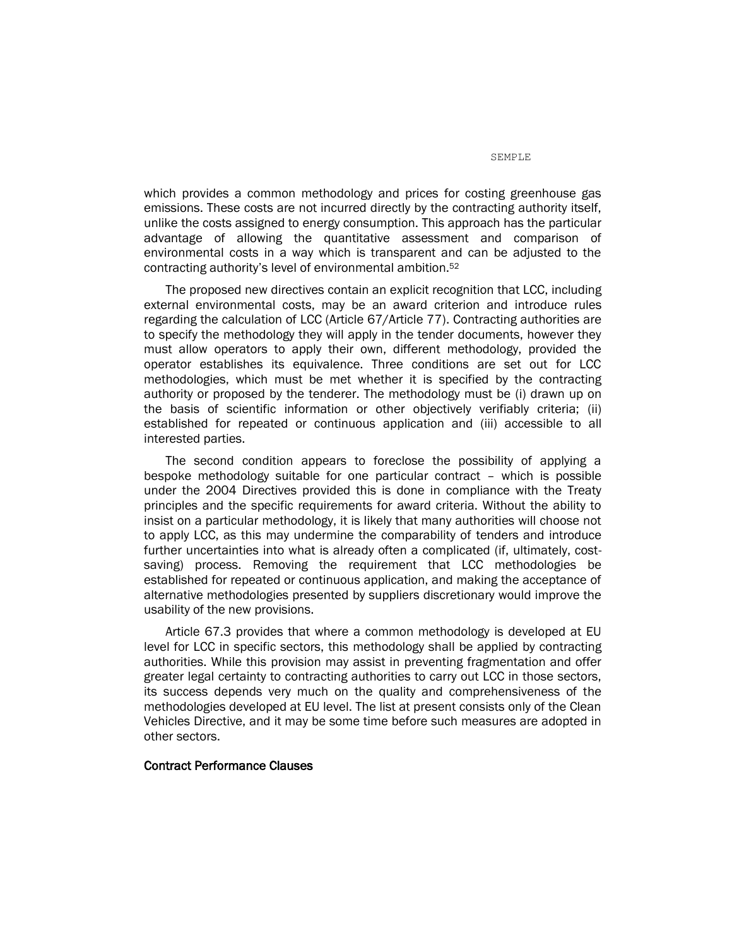which provides a common methodology and prices for costing greenhouse gas emissions. These costs are not incurred directly by the contracting authority itself, unlike the costs assigned to energy consumption. This approach has the particular advantage of allowing the quantitative assessment and comparison of environmental costs in a way which is transparent and can be adjusted to the contracting authority's level of environmental ambition.<sup>52</sup>

The proposed new directives contain an explicit recognition that LCC, including external environmental costs, may be an award criterion and introduce rules regarding the calculation of LCC (Article 67/Article 77). Contracting authorities are to specify the methodology they will apply in the tender documents, however they must allow operators to apply their own, different methodology, provided the operator establishes its equivalence. Three conditions are set out for LCC methodologies, which must be met whether it is specified by the contracting authority or proposed by the tenderer. The methodology must be (i) drawn up on the basis of scientific information or other objectively verifiably criteria; (ii) established for repeated or continuous application and (iii) accessible to all interested parties.

The second condition appears to foreclose the possibility of applying a bespoke methodology suitable for one particular contract – which is possible under the 2004 Directives provided this is done in compliance with the Treaty principles and the specific requirements for award criteria. Without the ability to insist on a particular methodology, it is likely that many authorities will choose not to apply LCC, as this may undermine the comparability of tenders and introduce further uncertainties into what is already often a complicated (if, ultimately, costsaving) process. Removing the requirement that LCC methodologies be established for repeated or continuous application, and making the acceptance of alternative methodologies presented by suppliers discretionary would improve the usability of the new provisions.

Article 67.3 provides that where a common methodology is developed at EU level for LCC in specific sectors, this methodology shall be applied by contracting authorities. While this provision may assist in preventing fragmentation and offer greater legal certainty to contracting authorities to carry out LCC in those sectors, its success depends very much on the quality and comprehensiveness of the methodologies developed at EU level. The list at present consists only of the Clean Vehicles Directive, and it may be some time before such measures are adopted in other sectors.

### Contract Performance Clauses

SEMPLE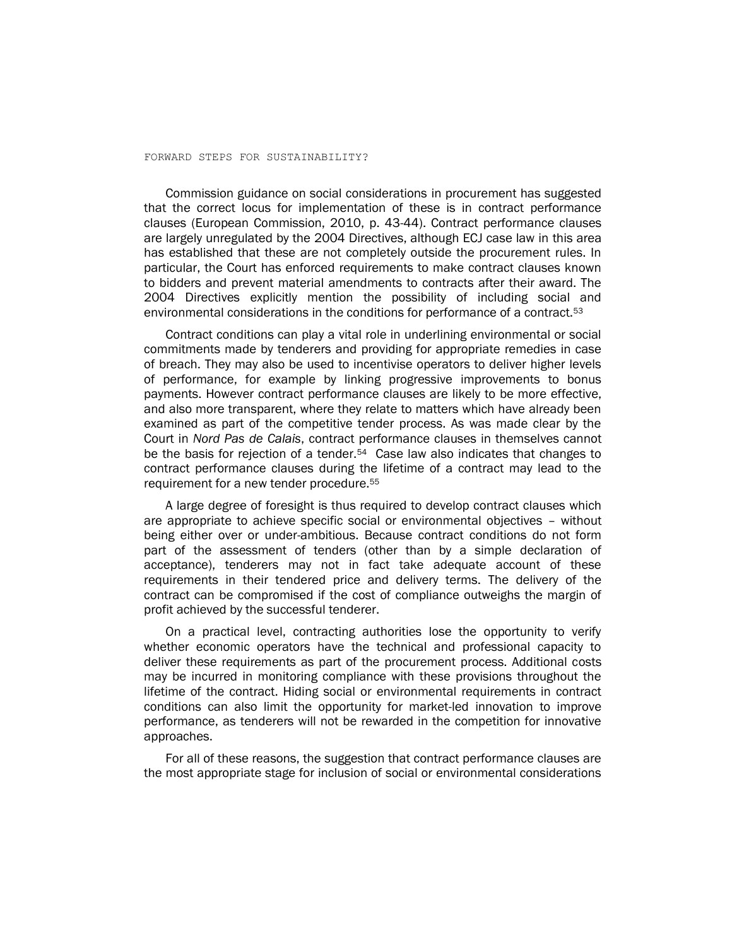Commission guidance on social considerations in procurement has suggested that the correct locus for implementation of these is in contract performance clauses (European Commission, 2010, p. 43-44). Contract performance clauses are largely unregulated by the 2004 Directives, although ECJ case law in this area has established that these are not completely outside the procurement rules. In particular, the Court has enforced requirements to make contract clauses known to bidders and prevent material amendments to contracts after their award. The 2004 Directives explicitly mention the possibility of including social and environmental considerations in the conditions for performance of a contract.<sup>53</sup>

Contract conditions can play a vital role in underlining environmental or social commitments made by tenderers and providing for appropriate remedies in case of breach. They may also be used to incentivise operators to deliver higher levels of performance, for example by linking progressive improvements to bonus payments. However contract performance clauses are likely to be more effective, and also more transparent, where they relate to matters which have already been examined as part of the competitive tender process. As was made clear by the Court in *Nord Pas de Calais*, contract performance clauses in themselves cannot be the basis for rejection of a tender.<sup>54</sup> Case law also indicates that changes to contract performance clauses during the lifetime of a contract may lead to the requirement for a new tender procedure.<sup>55</sup>

A large degree of foresight is thus required to develop contract clauses which are appropriate to achieve specific social or environmental objectives – without being either over or under-ambitious. Because contract conditions do not form part of the assessment of tenders (other than by a simple declaration of acceptance), tenderers may not in fact take adequate account of these requirements in their tendered price and delivery terms. The delivery of the contract can be compromised if the cost of compliance outweighs the margin of profit achieved by the successful tenderer.

On a practical level, contracting authorities lose the opportunity to verify whether economic operators have the technical and professional capacity to deliver these requirements as part of the procurement process. Additional costs may be incurred in monitoring compliance with these provisions throughout the lifetime of the contract. Hiding social or environmental requirements in contract conditions can also limit the opportunity for market-led innovation to improve performance, as tenderers will not be rewarded in the competition for innovative approaches.

For all of these reasons, the suggestion that contract performance clauses are the most appropriate stage for inclusion of social or environmental considerations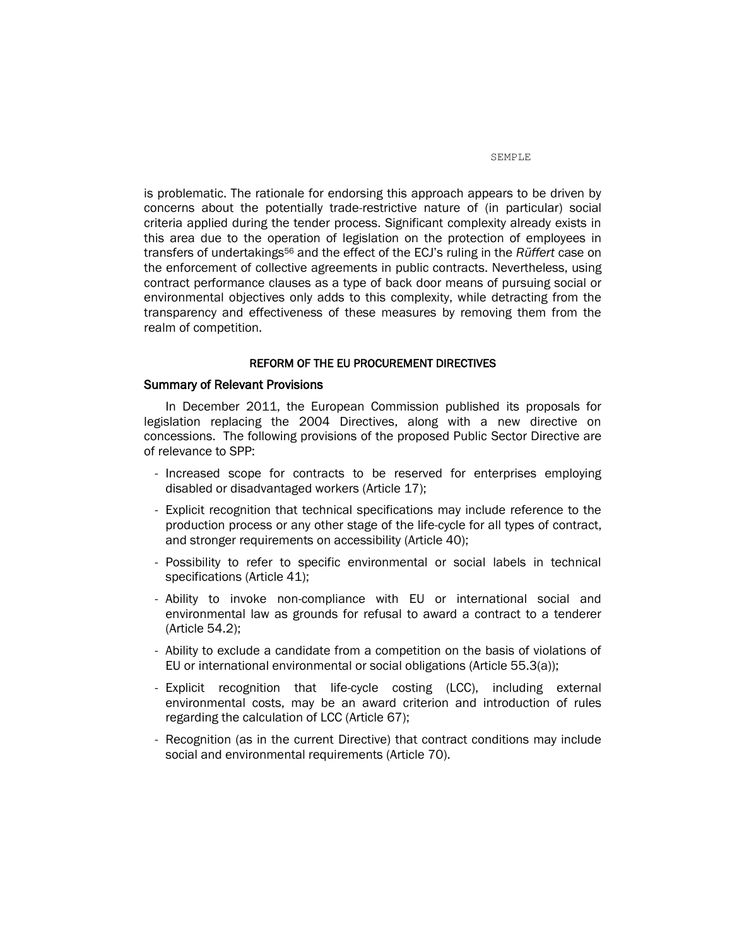is problematic. The rationale for endorsing this approach appears to be driven by concerns about the potentially trade-restrictive nature of (in particular) social criteria applied during the tender process. Significant complexity already exists in this area due to the operation of legislation on the protection of employees in transfers of undertakings<sup>56</sup> and the effect of the ECJ's ruling in the *Rüffert* case on the enforcement of collective agreements in public contracts. Nevertheless, using contract performance clauses as a type of back door means of pursuing social or environmental objectives only adds to this complexity, while detracting from the transparency and effectiveness of these measures by removing them from the realm of competition.

### REFORM OF THE EU PROCUREMENT DIRECTIVES

### Summary of Relevant Provisions

In December 2011, the European Commission published its proposals for legislation replacing the 2004 Directives, along with a new directive on concessions. The following provisions of the proposed Public Sector Directive are of relevance to SPP:

- Increased scope for contracts to be reserved for enterprises employing disabled or disadvantaged workers (Article 17);
- Explicit recognition that technical specifications may include reference to the production process or any other stage of the life-cycle for all types of contract, and stronger requirements on accessibility (Article 40);
- Possibility to refer to specific environmental or social labels in technical specifications (Article 41);
- Ability to invoke non-compliance with EU or international social and environmental law as grounds for refusal to award a contract to a tenderer (Article 54.2);
- Ability to exclude a candidate from a competition on the basis of violations of EU or international environmental or social obligations (Article 55.3(a));
- Explicit recognition that life-cycle costing (LCC), including external environmental costs, may be an award criterion and introduction of rules regarding the calculation of LCC (Article 67);
- Recognition (as in the current Directive) that contract conditions may include social and environmental requirements (Article 70).

SEMPLE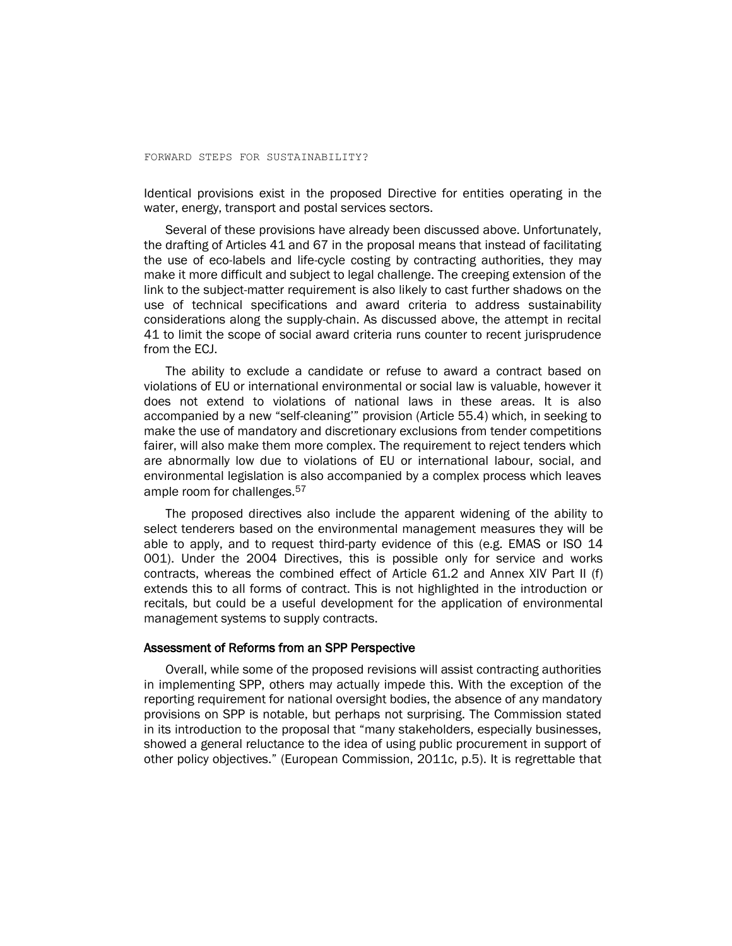Identical provisions exist in the proposed Directive for entities operating in the water, energy, transport and postal services sectors.

Several of these provisions have already been discussed above. Unfortunately, the drafting of Articles 41 and 67 in the proposal means that instead of facilitating the use of eco-labels and life-cycle costing by contracting authorities, they may make it more difficult and subject to legal challenge. The creeping extension of the link to the subject-matter requirement is also likely to cast further shadows on the use of technical specifications and award criteria to address sustainability considerations along the supply-chain. As discussed above, the attempt in recital 41 to limit the scope of social award criteria runs counter to recent jurisprudence from the ECJ.

The ability to exclude a candidate or refuse to award a contract based on violations of EU or international environmental or social law is valuable, however it does not extend to violations of national laws in these areas. It is also accompanied by a new "self-cleaning'" provision (Article 55.4) which, in seeking to make the use of mandatory and discretionary exclusions from tender competitions fairer, will also make them more complex. The requirement to reject tenders which are abnormally low due to violations of EU or international labour, social, and environmental legislation is also accompanied by a complex process which leaves ample room for challenges.<sup>57</sup>

The proposed directives also include the apparent widening of the ability to select tenderers based on the environmental management measures they will be able to apply, and to request third-party evidence of this (e.g. EMAS or ISO 14 001). Under the 2004 Directives, this is possible only for service and works contracts, whereas the combined effect of Article 61.2 and Annex XIV Part II (f) extends this to all forms of contract. This is not highlighted in the introduction or recitals, but could be a useful development for the application of environmental management systems to supply contracts.

### Assessment of Reforms from an SPP Perspective

Overall, while some of the proposed revisions will assist contracting authorities in implementing SPP, others may actually impede this. With the exception of the reporting requirement for national oversight bodies, the absence of any mandatory provisions on SPP is notable, but perhaps not surprising. The Commission stated in its introduction to the proposal that "many stakeholders, especially businesses, showed a general reluctance to the idea of using public procurement in support of other policy objectives." (European Commission, 2011c, p.5). It is regrettable that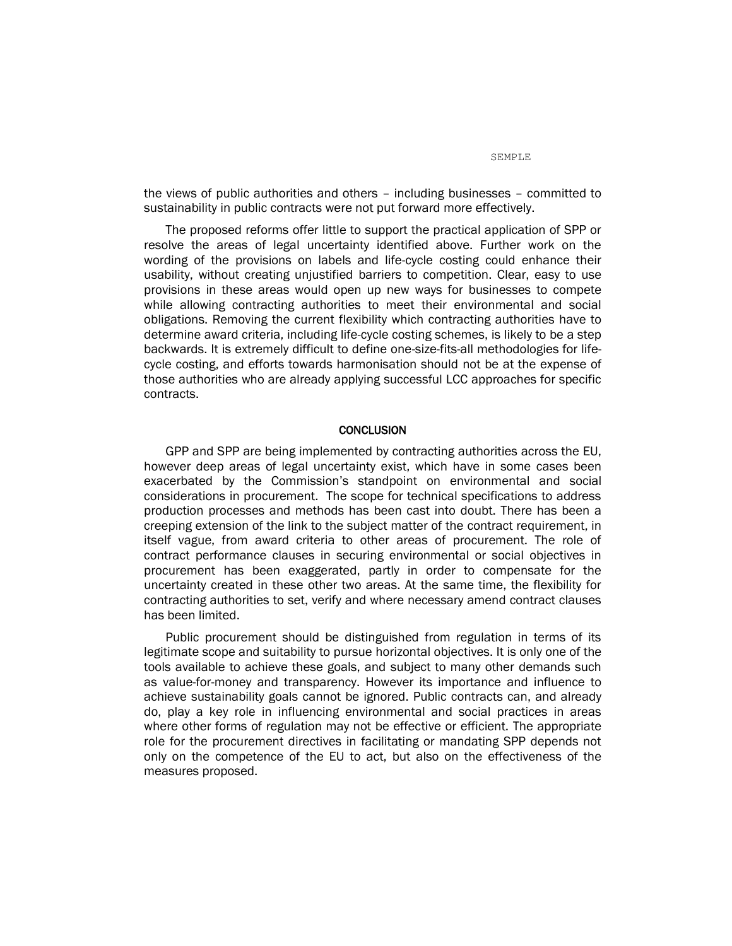the views of public authorities and others – including businesses – committed to sustainability in public contracts were not put forward more effectively.

The proposed reforms offer little to support the practical application of SPP or resolve the areas of legal uncertainty identified above. Further work on the wording of the provisions on labels and life-cycle costing could enhance their usability, without creating unjustified barriers to competition. Clear, easy to use provisions in these areas would open up new ways for businesses to compete while allowing contracting authorities to meet their environmental and social obligations. Removing the current flexibility which contracting authorities have to determine award criteria, including life-cycle costing schemes, is likely to be a step backwards. It is extremely difficult to define one-size-fits-all methodologies for lifecycle costing, and efforts towards harmonisation should not be at the expense of those authorities who are already applying successful LCC approaches for specific contracts.

### CONCLUSION

GPP and SPP are being implemented by contracting authorities across the EU, however deep areas of legal uncertainty exist, which have in some cases been exacerbated by the Commission's standpoint on environmental and social considerations in procurement. The scope for technical specifications to address production processes and methods has been cast into doubt. There has been a creeping extension of the link to the subject matter of the contract requirement, in itself vague, from award criteria to other areas of procurement. The role of contract performance clauses in securing environmental or social objectives in procurement has been exaggerated, partly in order to compensate for the uncertainty created in these other two areas. At the same time, the flexibility for contracting authorities to set, verify and where necessary amend contract clauses has been limited.

Public procurement should be distinguished from regulation in terms of its legitimate scope and suitability to pursue horizontal objectives. It is only one of the tools available to achieve these goals, and subject to many other demands such as value-for-money and transparency. However its importance and influence to achieve sustainability goals cannot be ignored. Public contracts can, and already do, play a key role in influencing environmental and social practices in areas where other forms of regulation may not be effective or efficient. The appropriate role for the procurement directives in facilitating or mandating SPP depends not only on the competence of the EU to act, but also on the effectiveness of the measures proposed.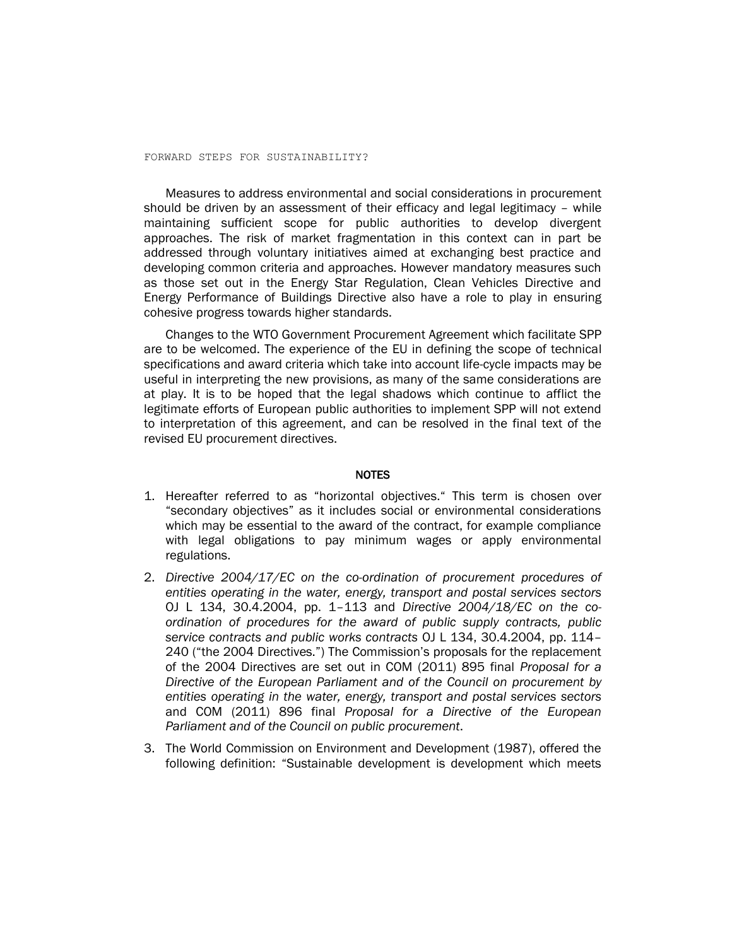Measures to address environmental and social considerations in procurement should be driven by an assessment of their efficacy and legal legitimacy – while maintaining sufficient scope for public authorities to develop divergent approaches. The risk of market fragmentation in this context can in part be addressed through voluntary initiatives aimed at exchanging best practice and developing common criteria and approaches. However mandatory measures such as those set out in the Energy Star Regulation, Clean Vehicles Directive and Energy Performance of Buildings Directive also have a role to play in ensuring cohesive progress towards higher standards.

Changes to the WTO Government Procurement Agreement which facilitate SPP are to be welcomed. The experience of the EU in defining the scope of technical specifications and award criteria which take into account life-cycle impacts may be useful in interpreting the new provisions, as many of the same considerations are at play. It is to be hoped that the legal shadows which continue to afflict the legitimate efforts of European public authorities to implement SPP will not extend to interpretation of this agreement, and can be resolved in the final text of the revised EU procurement directives.

### **NOTES**

- 1. Hereafter referred to as "horizontal objectives." This term is chosen over "secondary objectives" as it includes social or environmental considerations which may be essential to the award of the contract, for example compliance with legal obligations to pay minimum wages or apply environmental regulations.
- 2. *Directive 2004/17/EC on the co-ordination of procurement procedures of entities operating in the water, energy, transport and postal services sectors* OJ L 134, 30.4.2004, pp. 1–113 and *Directive 2004/18/EC on the coordination of procedures for the award of public supply contracts, public service contracts and public works contracts* OJ L 134, 30.4.2004, pp. 114– 240 ("the 2004 Directives.") The Commission's proposals for the replacement of the 2004 Directives are set out in COM (2011) 895 final *Proposal for a Directive of the European Parliament and of the Council on procurement by entities operating in the water, energy, transport and postal services sectors* and COM (2011) 896 final *Proposal for a Directive of the European Parliament and of the Council on public procurement*.
- 3. The World Commission on Environment and Development (1987), offered the following definition: "Sustainable development is development which meets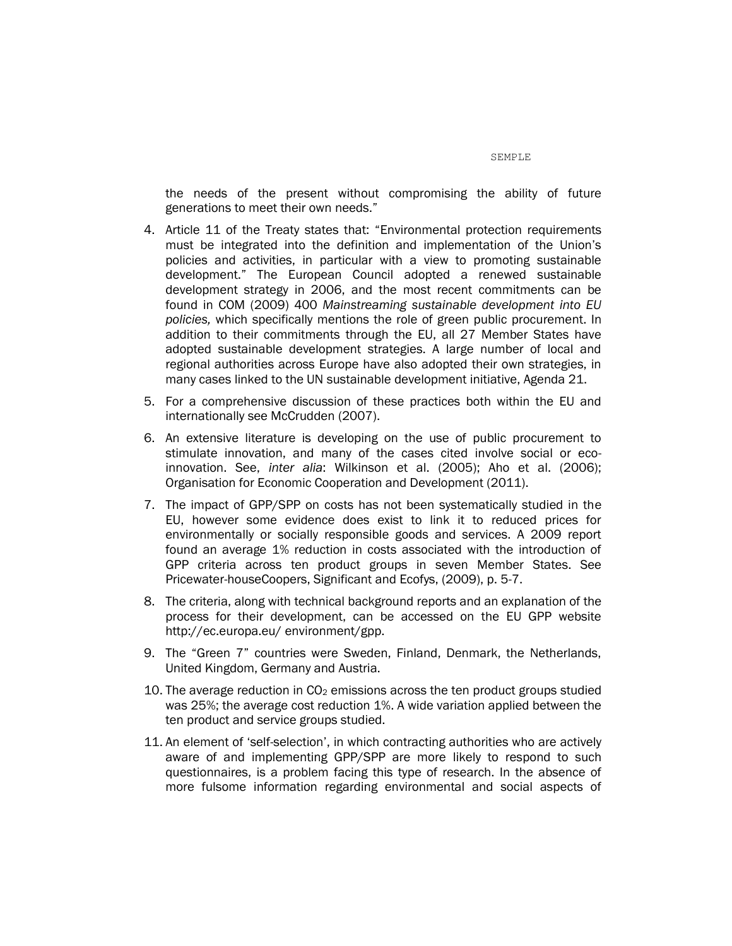the needs of the present without compromising the ability of future

4. Article 11 of the Treaty states that: "Environmental protection requirements must be integrated into the definition and implementation of the Union's policies and activities, in particular with a view to promoting sustainable development." The European Council adopted a renewed sustainable development strategy in 2006, and the most recent commitments can be found in COM (2009) 400 *Mainstreaming sustainable development into EU policies,* which specifically mentions the role of green public procurement. In addition to their commitments through the EU, all 27 Member States have adopted sustainable development strategies. A large number of local and regional authorities across Europe have also adopted their own strategies, in many cases linked to the UN sustainable development initiative, Agenda 21.

generations to meet their own needs."

- 5. For a comprehensive discussion of these practices both within the EU and internationally see McCrudden (2007).
- 6. An extensive literature is developing on the use of public procurement to stimulate innovation, and many of the cases cited involve social or ecoinnovation. See, *inter alia*: Wilkinson et al. (2005); Aho et al. (2006); Organisation for Economic Cooperation and Development (2011).
- 7. The impact of GPP/SPP on costs has not been systematically studied in the EU, however some evidence does exist to link it to reduced prices for environmentally or socially responsible goods and services. A 2009 report found an average 1% reduction in costs associated with the introduction of GPP criteria across ten product groups in seven Member States. See Pricewater-houseCoopers, Significant and Ecofys, (2009), p. 5-7.
- 8. The criteria, along with technical background reports and an explanation of the process for their development, can be accessed on the EU GPP website [http://ec.europa.eu/](http://ec.europa.eu/environment/gpp) environment/gpp.
- 9. The "Green 7" countries were Sweden, Finland, Denmark, the Netherlands, United Kingdom, Germany and Austria.
- 10. The average reduction in  $CO<sub>2</sub>$  emissions across the ten product groups studied was 25%; the average cost reduction 1%. A wide variation applied between the ten product and service groups studied.
- 11. An element of 'self-selection', in which contracting authorities who are actively aware of and implementing GPP/SPP are more likely to respond to such questionnaires, is a problem facing this type of research. In the absence of more fulsome information regarding environmental and social aspects of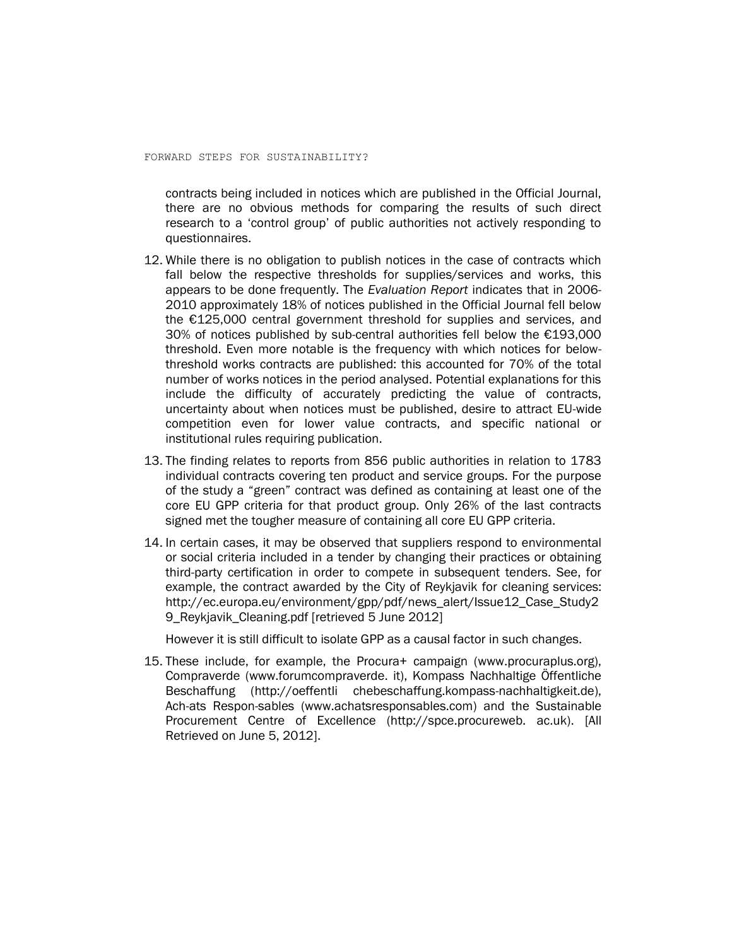contracts being included in notices which are published in the Official Journal, there are no obvious methods for comparing the results of such direct research to a 'control group' of public authorities not actively responding to questionnaires.

- 12. While there is no obligation to publish notices in the case of contracts which fall below the respective thresholds for supplies/services and works, this appears to be done frequently. The *Evaluation Report* indicates that in 2006- 2010 approximately 18% of notices published in the Official Journal fell below the €125,000 central government threshold for supplies and services, and 30% of notices published by sub-central authorities fell below the €193,000 threshold. Even more notable is the frequency with which notices for belowthreshold works contracts are published: this accounted for 70% of the total number of works notices in the period analysed. Potential explanations for this include the difficulty of accurately predicting the value of contracts, uncertainty about when notices must be published, desire to attract EU-wide competition even for lower value contracts, and specific national or institutional rules requiring publication.
- 13. The finding relates to reports from 856 public authorities in relation to 1783 individual contracts covering ten product and service groups. For the purpose of the study a "green" contract was defined as containing at least one of the core EU GPP criteria for that product group. Only 26% of the last contracts signed met the tougher measure of containing all core EU GPP criteria.
- 14. In certain cases, it may be observed that suppliers respond to environmental or social criteria included in a tender by changing their practices or obtaining third-party certification in order to compete in subsequent tenders. See, for example, the contract awarded by the City of Reykjavik for cleaning services: [http://ec.europa.eu/environment/gpp/pdf/news\\_alert/Issue12\\_Case\\_Study2](http://ec.europa.eu/environment/gpp/pdf/news_alert/Issue12_Case_Study29_Reykjavik_Cleaning.pdf) [9\\_Reykjavik\\_Cleaning.pdf](http://ec.europa.eu/environment/gpp/pdf/news_alert/Issue12_Case_Study29_Reykjavik_Cleaning.pdf) [retrieved 5 June 2012]

However it is still difficult to isolate GPP as a causal factor in such changes.

15. These include, for example, the Procura+ campaign [\(www.procuraplus.org\)](http://www.procuraplus.org/), Compraverde [\(www.forumcompraverde.](http://www.forumcompraverde.it/) it), Kompass Nachhaltige Öffentliche Beschaffung (http://oeffentli [chebeschaffung.kompass-nachhaltigkeit.de\)](http://oeffentlichebeschaffung.kompass-nachhaltigkeit.de/), Ach-ats Respon-sables [\(www.achatsresponsables.com\)](http://www.achatsresponsables.com/) and the Sustainable Procurement Centre of Excellence [\(http://spce.procureweb.](http://spce.procureweb.ac.uk/) ac.uk). [All Retrieved on June 5, 2012].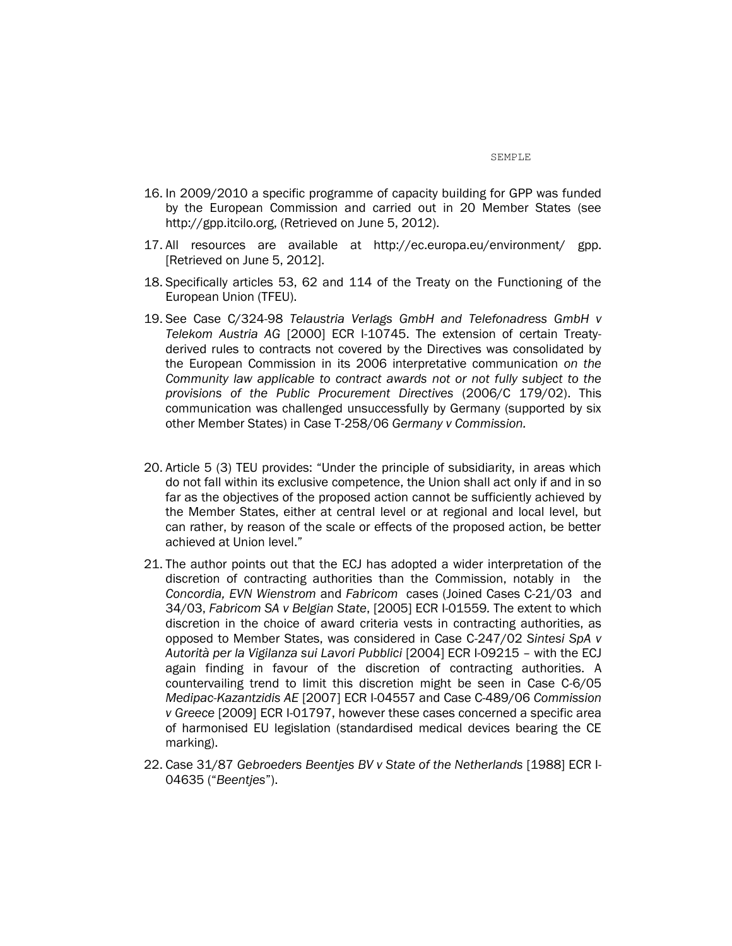- 16. In 2009/2010 a specific programme of capacity building for GPP was funded by the European Commission and carried out in 20 Member States (see [http://gpp.itcilo.org,](http://gpp.itcilo.org/) (Retrieved on June 5, 2012).
- 17. All resources are available at [http://ec.europa.eu/environment/](http://ec.europa.eu/environment/gpp) gpp. [Retrieved on June 5, 2012].
- 18. Specifically articles 53, 62 and 114 of the Treaty on the Functioning of the European Union (TFEU).
- 19. See Case C/324-98 *Telaustria Verlags GmbH and Telefonadress GmbH v Telekom Austria AG* [2000] ECR I-10745. The extension of certain Treatyderived rules to contracts not covered by the Directives was consolidated by the European Commission in its 2006 interpretative communication *on the Community law applicable to contract awards not or not fully subject to the provisions of the Public Procurement Directives* (2006/C 179/02). This communication was challenged unsuccessfully by Germany (supported by six other Member States) in Case T-258/06 *Germany v Commission.*
- 20. Article 5 (3) TEU provides: "Under the principle of subsidiarity, in areas which do not fall within its exclusive competence, the Union shall act only if and in so far as the objectives of the proposed action cannot be sufficiently achieved by the Member States, either at central level or at regional and local level, but can rather, by reason of the scale or effects of the proposed action, be better achieved at Union level."
- 21. The author points out that the ECJ has adopted a wider interpretation of the discretion of contracting authorities than the Commission, notably in the *Concordia, EVN Wienstrom* and *Fabricom* cases (Joined Cases C-21/03 and 34/03, *Fabricom SA v Belgian State*, [2005] ECR I-01559*.* The extent to which discretion in the choice of award criteria vests in contracting authorities, as opposed to Member States, was considered in Case C-247/02 *Sintesi SpA v Autorità per la Vigilanza sui Lavori Pubblici* [2004] ECR I-09215 – with the ECJ again finding in favour of the discretion of contracting authorities. A countervailing trend to limit this discretion might be seen in Case C-6/05 *Medipac-Kazantzidis AE* [2007] ECR I-04557 and Case C-489/06 *Commission v Greece* [2009] ECR I-01797, however these cases concerned a specific area of harmonised EU legislation (standardised medical devices bearing the CE marking).
- 22. Case 31/87 *Gebroeders Beentjes BV v State of the Netherlands* [1988] ECR I-04635 ("*Beentjes*").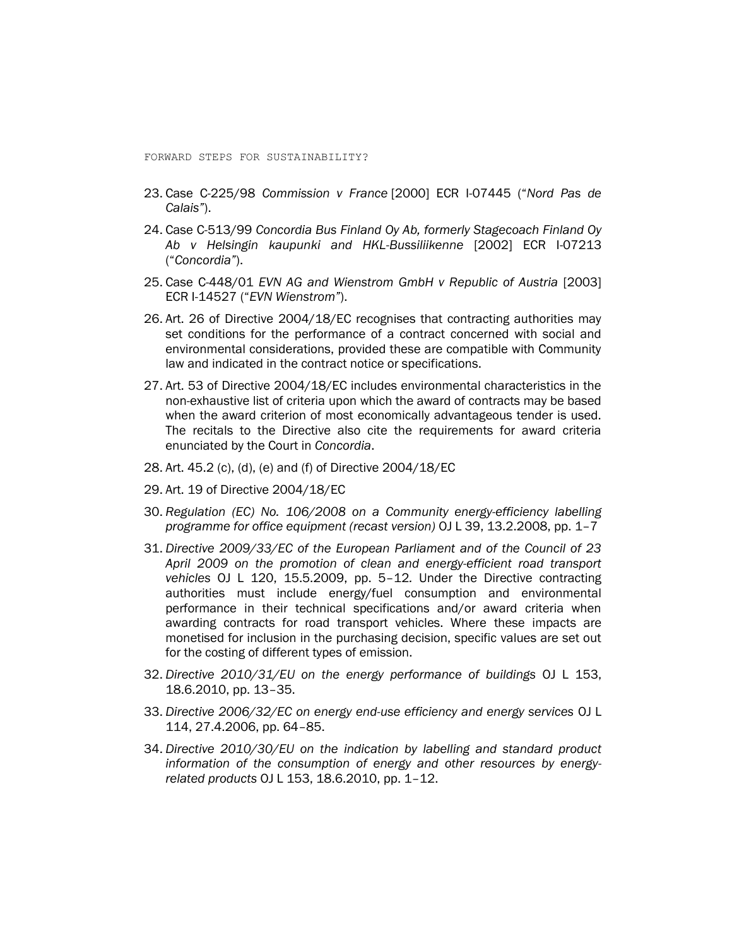- 23. Case C-225/98 *Commission v France* [2000] ECR I-07445 ("*Nord Pas de Calais"*).
- 24. Case C-513/99 *Concordia Bus Finland Oy Ab, formerly Stagecoach Finland Oy Ab v Helsingin kaupunki and HKL-Bussiliikenne* [2002] ECR I-07213 ("*Concordia"*).
- 25. Case C-448/01 *EVN AG and Wienstrom GmbH v Republic of Austria* [2003] ECR I-14527 ("*EVN Wienstrom"*).
- 26. Art. 26 of Directive 2004/18/EC recognises that contracting authorities may set conditions for the performance of a contract concerned with social and environmental considerations, provided these are compatible with Community law and indicated in the contract notice or specifications.
- 27. Art. 53 of Directive 2004/18/EC includes environmental characteristics in the non-exhaustive list of criteria upon which the award of contracts may be based when the award criterion of most economically advantageous tender is used. The recitals to the Directive also cite the requirements for award criteria enunciated by the Court in *Concordia*.
- 28. Art. 45.2 (c), (d), (e) and (f) of Directive 2004/18/EC
- 29. Art. 19 of Directive 2004/18/EC
- 30. *Regulation (EC) No. 106/2008 on a Community energy-efficiency labelling programme for office equipment (recast version)* OJ L 39, 13.2.2008, pp. 1–7
- 31. *Directive 2009/33/EC of the European Parliament and of the Council of 23 April 2009 on the promotion of clean and energy-efficient road transport vehicles* OJ L 120, 15.5.2009, pp. 5–12*.* Under the Directive contracting authorities must include energy/fuel consumption and environmental performance in their technical specifications and/or award criteria when awarding contracts for road transport vehicles. Where these impacts are monetised for inclusion in the purchasing decision, specific values are set out for the costing of different types of emission.
- 32. *Directive 2010/31/EU on the energy performance of buildings* OJ L 153, 18.6.2010, pp. 13–35.
- 33. *Directive 2006/32/EC on energy end-use efficiency and energy services* OJ L 114, 27.4.2006, pp. 64–85.
- 34. *Directive 2010/30/EU on the indication by labelling and standard product information of the consumption of energy and other resources by energyrelated products* OJ L 153, 18.6.2010, pp. 1–12.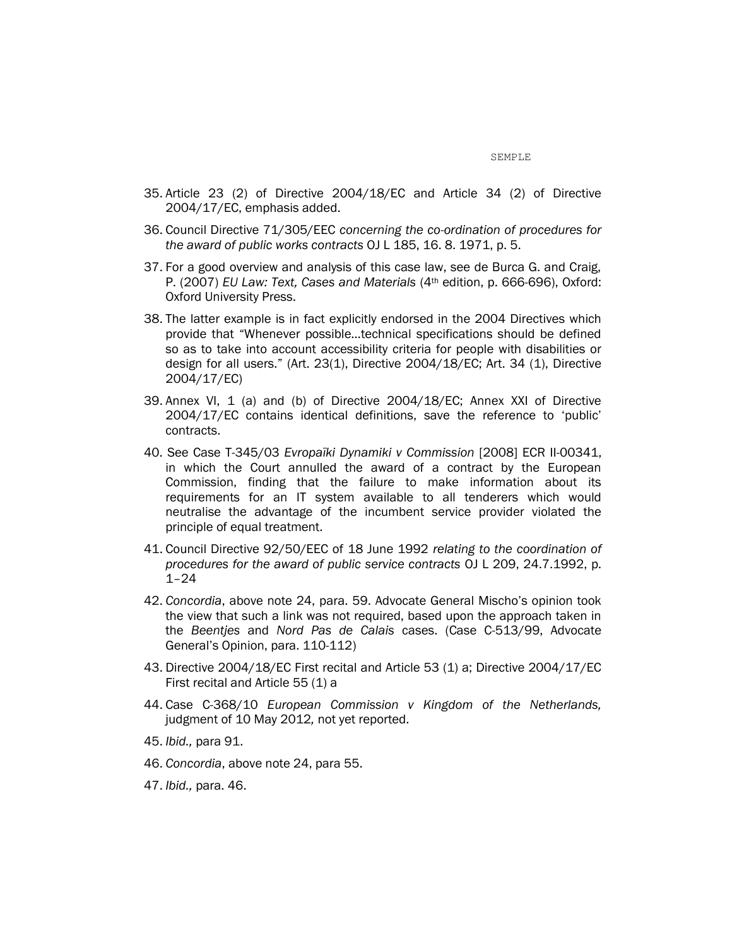- 35. Article 23 (2) of Directive 2004/18/EC and Article 34 (2) of Directive 2004/17/EC, emphasis added.
- 36. Council Directive 71/305/EEC *concerning the co-ordination of procedures for the award of public works contracts* OJ L 185, 16. 8. 1971, p. 5.
- 37. For a good overview and analysis of this case law, see de Burca G. and Craig, P. (2007) *EU Law: Text, Cases and Materials* (4th edition, p. 666-696), Oxford: Oxford University Press.
- 38. The latter example is in fact explicitly endorsed in the 2004 Directives which provide that "Whenever possible…technical specifications should be defined so as to take into account accessibility criteria for people with disabilities or design for all users." (Art. 23(1), Directive 2004/18/EC; Art. 34 (1), Directive 2004/17/EC)
- 39. Annex VI, 1 (a) and (b) of Directive 2004/18/EC; Annex XXI of Directive 2004/17/EC contains identical definitions, save the reference to 'public' contracts.
- 40. See Case T-345/03 *Evropaїki Dynamiki v Commission* [2008] ECR II-00341, in which the Court annulled the award of a contract by the European Commission, finding that the failure to make information about its requirements for an IT system available to all tenderers which would neutralise the advantage of the incumbent service provider violated the principle of equal treatment.
- 41. Council Directive 92/50/EEC of 18 June 1992 *relating to the coordination of procedures for the award of public service contracts* OJ L 209, 24.7.1992, p. 1–24
- 42. *Concordia*, above note 24, para. 59. Advocate General Mischo's opinion took the view that such a link was not required, based upon the approach taken in the *Beentjes* and *Nord Pas de Calais* cases. (Case C-513/99, Advocate General's Opinion, para. 110-112)
- 43. Directive 2004/18/EC First recital and Article 53 (1) a; Directive 2004/17/EC First recital and Article 55 (1) a
- 44. Case C-368/10 *European Commission v Kingdom of the Netherlands,*  judgment of 10 May 2012*,* not yet reported.
- 45. *Ibid.,* para 91.
- 46. *Concordia*, above note 24, para 55.
- 47. *Ibid.,* para. 46.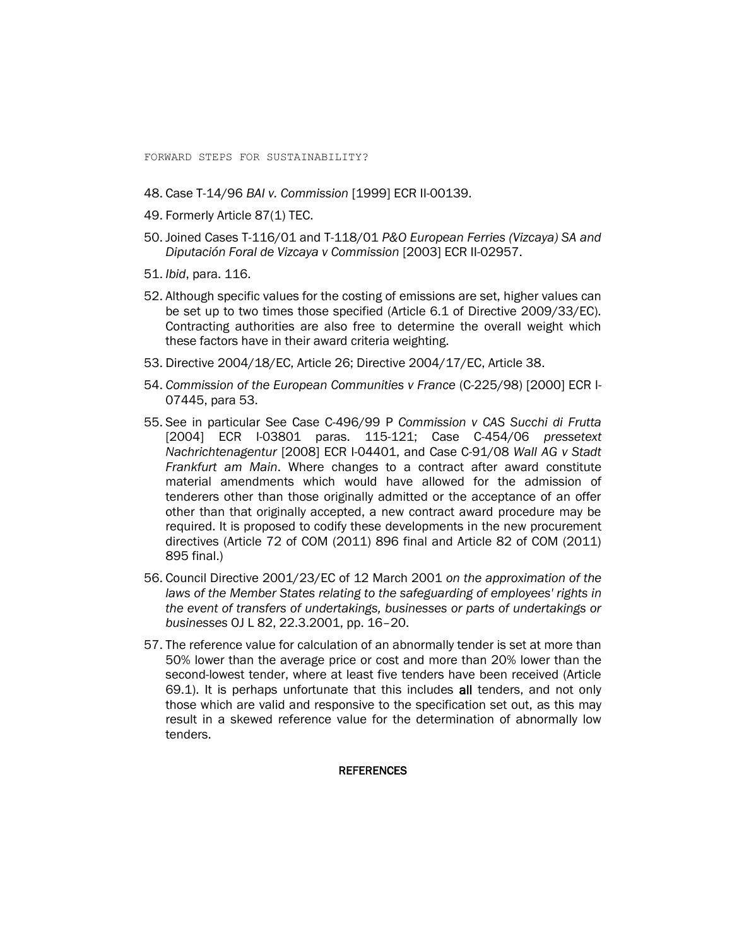- 48. Case T-14/96 *BAI v. Commission* [1999] ECR II-00139.
- 49. Formerly Article 87(1) TEC.
- 50. Joined Cases T-116/01 and T-118/01 *P&O European Ferries (Vizcaya) SA and Diputación Foral de Vizcaya v Commission* [2003] ECR II-02957.
- 51. *Ibid*, para. 116.
- 52. Although specific values for the costing of emissions are set, higher values can be set up to two times those specified (Article 6.1 of Directive 2009/33/EC). Contracting authorities are also free to determine the overall weight which these factors have in their award criteria weighting.
- 53. Directive 2004/18/EC, Article 26; Directive 2004/17/EC, Article 38.
- 54. *Commission of the European Communities v France* (C-225/98) [2000] ECR I-07445, para 53.
- 55. See in particular See Case C-496/99 P *Commission v CAS Succhi di Frutta* [2004] ECR I-03801 paras. 115-121; Case C-454/06 *pressetext Nachrichtenagentur* [2008] ECR I-04401, and Case C-91/08 *Wall AG v Stadt Frankfurt am Main*. Where changes to a contract after award constitute material amendments which would have allowed for the admission of tenderers other than those originally admitted or the acceptance of an offer other than that originally accepted, a new contract award procedure may be required. It is proposed to codify these developments in the new procurement directives (Article 72 of COM (2011) 896 final and Article 82 of COM (2011) 895 final.)
- 56. Council Directive 2001/23/EC of 12 March 2001 *on the approximation of the laws of the Member States relating to the safeguarding of employees' rights in the event of transfers of undertakings, businesses or parts of undertakings or businesses* OJ L 82, 22.3.2001, pp. 16–20.
- 57. The reference value for calculation of an abnormally tender is set at more than 50% lower than the average price or cost and more than 20% lower than the second-lowest tender, where at least five tenders have been received (Article 69.1). It is perhaps unfortunate that this includes all tenders, and not only those which are valid and responsive to the specification set out, as this may result in a skewed reference value for the determination of abnormally low tenders.

#### **REFERENCES**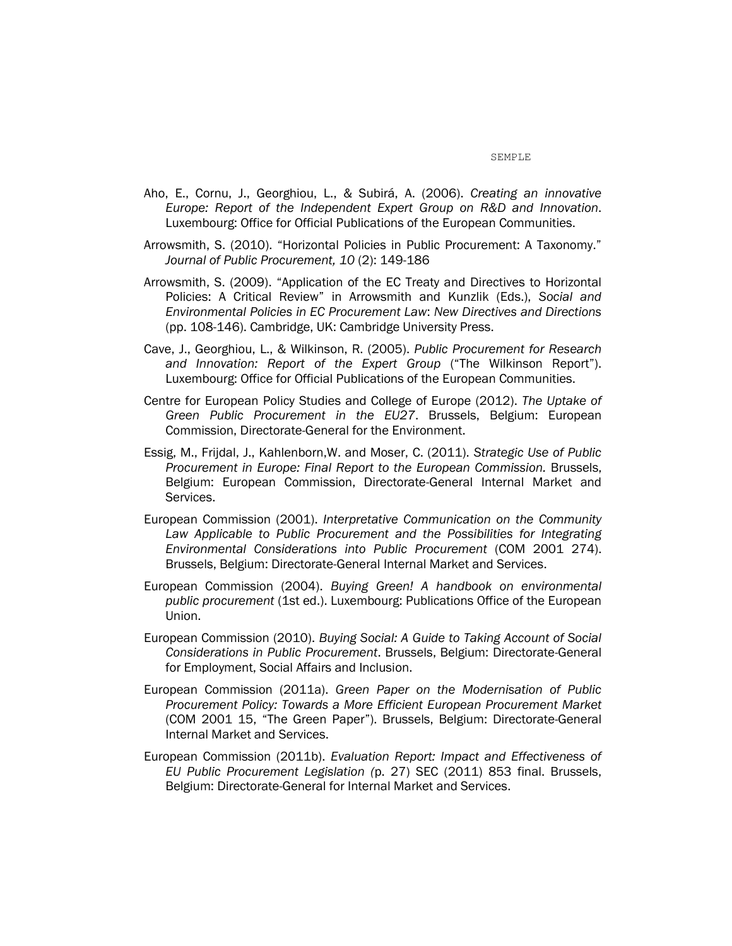- Aho, E., Cornu, J., Georghiou, L., & Subirá, A. (2006). *Creating an innovative Europe: Report of the Independent Expert Group on R&D and Innovation*. Luxembourg: Office for Official Publications of the European Communities.
- Arrowsmith, S. (2010). "Horizontal Policies in Public Procurement: A Taxonomy." *Journal of Public Procurement, 10* (2): 149-186
- Arrowsmith, S. (2009). "Application of the EC Treaty and Directives to Horizontal Policies: A Critical Review" in Arrowsmith and Kunzlik (Eds.), *Social and Environmental Policies in EC Procurement Law*: *New Directives and Directions* (pp. 108-146). Cambridge, UK: Cambridge University Press.
- Cave, J., Georghiou, L., & Wilkinson, R. (2005). *Public Procurement for Research and Innovation: Report of the Expert Group* ("The Wilkinson Report"). Luxembourg: Office for Official Publications of the European Communities.
- Centre for European Policy Studies and College of Europe (2012). *The Uptake of Green Public Procurement in the EU27*. Brussels, Belgium: European Commission, Directorate-General for the Environment.
- Essig, M., Frijdal, J., Kahlenborn,W. and Moser, C. (2011). *Strategic Use of Public Procurement in Europe: Final Report to the European Commission.* Brussels, Belgium: European Commission, Directorate-General Internal Market and Services.
- European Commission (2001). *Interpretative Communication on the Community*  Law Applicable to Public Procurement and the Possibilities for Integrating *Environmental Considerations into Public Procurement* (COM 2001 274). Brussels, Belgium: Directorate-General Internal Market and Services.
- European Commission (2004). *Buying Green! A handbook on environmental public procurement* (1st ed.). Luxembourg: Publications Office of the European Union.
- European Commission (2010). *Buying Social: A Guide to Taking Account of Social Considerations in Public Procurement*. Brussels, Belgium: Directorate-General for Employment, Social Affairs and Inclusion.
- European Commission (2011a). *Green Paper on the Modernisation of Public Procurement Policy: Towards a More Efficient European Procurement Market* (COM 2001 15, "The Green Paper"). Brussels, Belgium: Directorate-General Internal Market and Services.
- European Commission (2011b). *Evaluation Report: Impact and Effectiveness of EU Public Procurement Legislation (*p. 27) SEC (2011) 853 final. Brussels, Belgium: Directorate-General for Internal Market and Services.